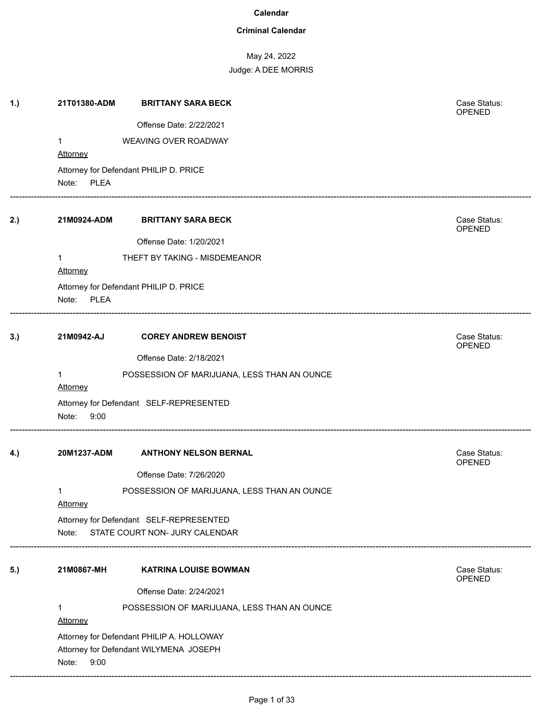#### **Criminal Calendar**

| 1.) | 21T01380-ADM            | <b>BRITTANY SARA BECK</b>                                                           | Case Status:<br><b>OPENED</b> |
|-----|-------------------------|-------------------------------------------------------------------------------------|-------------------------------|
|     |                         | Offense Date: 2/22/2021                                                             |                               |
|     | $\mathbf 1$<br>Attorney | WEAVING OVER ROADWAY                                                                |                               |
|     | Note: PLEA              | Attorney for Defendant PHILIP D. PRICE                                              |                               |
| 2.) | 21M0924-ADM             | <b>BRITTANY SARA BECK</b>                                                           | Case Status:<br>OPENED        |
|     |                         | Offense Date: 1/20/2021                                                             |                               |
|     | $\mathbf 1$<br>Attorney | THEFT BY TAKING - MISDEMEANOR                                                       |                               |
|     | Note: PLEA              | Attorney for Defendant PHILIP D. PRICE                                              |                               |
| 3.) | 21M0942-AJ              | <b>COREY ANDREW BENOIST</b>                                                         | Case Status:<br>OPENED        |
|     |                         | Offense Date: 2/18/2021                                                             |                               |
|     | 1<br><b>Attorney</b>    | POSSESSION OF MARIJUANA, LESS THAN AN OUNCE                                         |                               |
|     | Note:<br>9:00           | Attorney for Defendant SELF-REPRESENTED                                             |                               |
| 4.) | 20M1237-ADM             | <b>ANTHONY NELSON BERNAL</b>                                                        | Case Status:<br><b>OPENED</b> |
|     |                         | Offense Date: 7/26/2020                                                             |                               |
|     | 1<br>Attorney           | POSSESSION OF MARIJUANA, LESS THAN AN OUNCE                                         |                               |
|     |                         | Attorney for Defendant SELF-REPRESENTED                                             |                               |
|     | Note:                   | STATE COURT NON- JURY CALENDAR                                                      |                               |
| 5.) | 21M0867-MH              | <b>KATRINA LOUISE BOWMAN</b>                                                        | Case Status:<br>OPENED        |
|     |                         | Offense Date: 2/24/2021                                                             |                               |
|     | 1<br>Attorney           | POSSESSION OF MARIJUANA, LESS THAN AN OUNCE                                         |                               |
|     | Note:<br>9:00           | Attorney for Defendant PHILIP A. HOLLOWAY<br>Attorney for Defendant WILYMENA JOSEPH |                               |
|     |                         |                                                                                     |                               |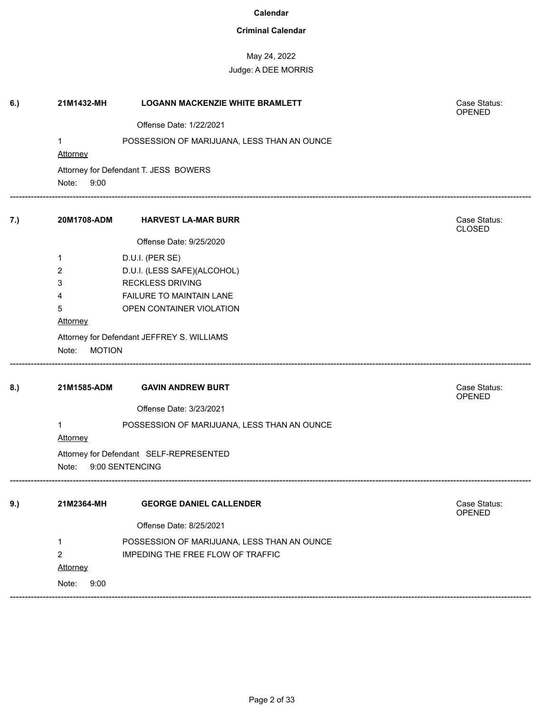### **Criminal Calendar**

## May 24, 2022

| 6.) | 21M1432-MH             | <b>LOGANN MACKENZIE WHITE BRAMLETT</b>      | Case Status:<br>OPENED        |
|-----|------------------------|---------------------------------------------|-------------------------------|
|     |                        | Offense Date: 1/22/2021                     |                               |
|     | 1                      | POSSESSION OF MARIJUANA, LESS THAN AN OUNCE |                               |
|     | Attorney               |                                             |                               |
|     |                        | Attorney for Defendant T. JESS BOWERS       |                               |
|     | Note:<br>9:00          |                                             |                               |
| 7.) | 20M1708-ADM            | <b>HARVEST LA-MAR BURR</b>                  | Case Status:<br><b>CLOSED</b> |
|     |                        | Offense Date: 9/25/2020                     |                               |
|     | 1                      | D.U.I. (PER SE)                             |                               |
|     | 2                      | D.U.I. (LESS SAFE)(ALCOHOL)                 |                               |
|     | 3                      | <b>RECKLESS DRIVING</b>                     |                               |
|     | 4                      | <b>FAILURE TO MAINTAIN LANE</b>             |                               |
|     | 5                      | OPEN CONTAINER VIOLATION                    |                               |
|     | <b>Attorney</b>        |                                             |                               |
|     |                        | Attorney for Defendant JEFFREY S. WILLIAMS  |                               |
|     | <b>MOTION</b><br>Note: |                                             |                               |
| 8.) | 21M1585-ADM            | <b>GAVIN ANDREW BURT</b>                    | Case Status:<br><b>OPENED</b> |
|     |                        | Offense Date: 3/23/2021                     |                               |
|     | <b>Attorney</b>        | POSSESSION OF MARIJUANA, LESS THAN AN OUNCE |                               |
|     |                        | Attorney for Defendant SELF-REPRESENTED     |                               |
|     | Note:                  | 9:00 SENTENCING                             |                               |
| 9.) | 21M2364-MH             | <b>GEORGE DANIEL CALLENDER</b>              | Case Status:                  |
|     |                        |                                             | OPENED                        |
|     |                        | Offense Date: 8/25/2021                     |                               |
|     | 1                      | POSSESSION OF MARIJUANA, LESS THAN AN OUNCE |                               |
|     | $\overline{c}$         | IMPEDING THE FREE FLOW OF TRAFFIC           |                               |
|     | Attorney               |                                             |                               |
|     | Note:<br>9:00          |                                             |                               |
|     |                        |                                             |                               |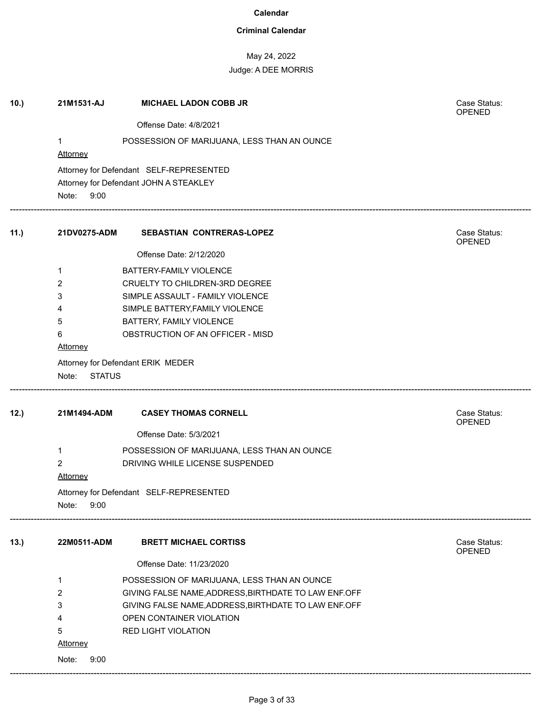### **Criminal Calendar**

# May 24, 2022

## Judge: A DEE MORRIS

| 10.) | 21M1531-AJ             | <b>MICHAEL LADON COBB JR</b>                                                      | Case Status:<br><b>OPENED</b> |
|------|------------------------|-----------------------------------------------------------------------------------|-------------------------------|
|      |                        | Offense Date: 4/8/2021                                                            |                               |
|      | 1<br><b>Attorney</b>   | POSSESSION OF MARIJUANA, LESS THAN AN OUNCE                                       |                               |
|      | Note:<br>9:00          | Attorney for Defendant SELF-REPRESENTED<br>Attorney for Defendant JOHN A STEAKLEY |                               |
| 11.) | 21DV0275-ADM           | SEBASTIAN CONTRERAS-LOPEZ                                                         | Case Status:<br>OPENED        |
|      |                        | Offense Date: 2/12/2020                                                           |                               |
|      | 1                      | BATTERY-FAMILY VIOLENCE                                                           |                               |
|      | 2                      | <b>CRUELTY TO CHILDREN-3RD DEGREE</b>                                             |                               |
|      | 3                      | SIMPLE ASSAULT - FAMILY VIOLENCE                                                  |                               |
|      | 4                      | SIMPLE BATTERY, FAMILY VIOLENCE                                                   |                               |
|      | 5                      | BATTERY, FAMILY VIOLENCE                                                          |                               |
|      | 6                      | OBSTRUCTION OF AN OFFICER - MISD                                                  |                               |
|      | <b>Attorney</b>        |                                                                                   |                               |
|      | Note:<br><b>STATUS</b> | Attorney for Defendant ERIK MEDER                                                 |                               |
| 12.) | 21M1494-ADM            | <b>CASEY THOMAS CORNELL</b>                                                       | Case Status:<br><b>OPENED</b> |
|      |                        | Offense Date: 5/3/2021                                                            |                               |
|      | 1                      | POSSESSION OF MARIJUANA, LESS THAN AN OUNCE                                       |                               |
|      | 2                      | DRIVING WHILE LICENSE SUSPENDED                                                   |                               |
|      | <b>Attorney</b>        |                                                                                   |                               |
|      | Note:<br>9:00          | Attorney for Defendant SELF-REPRESENTED                                           |                               |
| 13.) | 22M0511-ADM            | <b>BRETT MICHAEL CORTISS</b>                                                      | Case Status:<br>OPENED        |
|      |                        | Offense Date: 11/23/2020                                                          |                               |
|      | 1                      | POSSESSION OF MARIJUANA, LESS THAN AN OUNCE                                       |                               |
|      | 2                      | GIVING FALSE NAME, ADDRESS, BIRTHDATE TO LAW ENF.OFF                              |                               |
|      | 3                      | GIVING FALSE NAME, ADDRESS, BIRTHDATE TO LAW ENF.OFF                              |                               |
|      | 4                      | OPEN CONTAINER VIOLATION                                                          |                               |
|      | 5                      | <b>RED LIGHT VIOLATION</b>                                                        |                               |
|      | <b>Attorney</b>        |                                                                                   |                               |
|      | Note:<br>9:00          |                                                                                   |                               |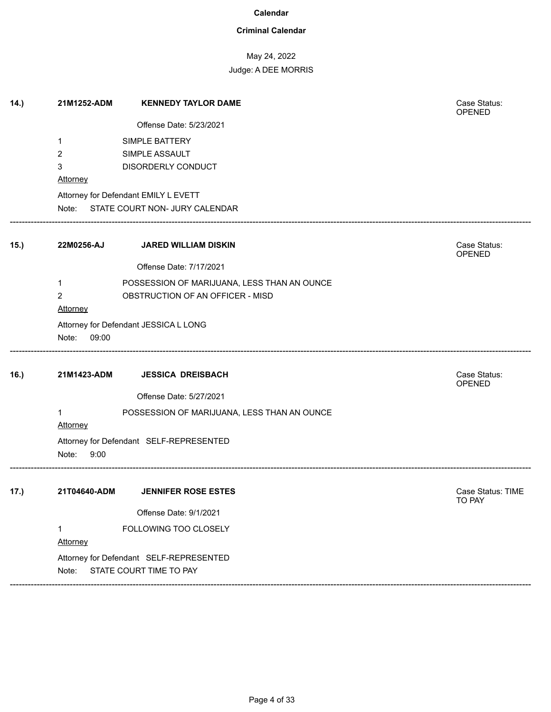### **Criminal Calendar**

## May 24, 2022

| 14.) | 21M1252-ADM                             | <b>KENNEDY TAYLOR DAME</b>                  | Case Status:<br><b>OPENED</b> |  |
|------|-----------------------------------------|---------------------------------------------|-------------------------------|--|
|      |                                         | Offense Date: 5/23/2021                     |                               |  |
|      | 1                                       | SIMPLE BATTERY                              |                               |  |
|      | 2                                       | SIMPLE ASSAULT                              |                               |  |
|      | 3                                       | DISORDERLY CONDUCT                          |                               |  |
|      | Attorney                                |                                             |                               |  |
|      |                                         | Attorney for Defendant EMILY L EVETT        |                               |  |
|      | Note:                                   | STATE COURT NON- JURY CALENDAR              |                               |  |
| 15.) | 22M0256-AJ                              | <b>JARED WILLIAM DISKIN</b>                 | Case Status:<br>OPENED        |  |
|      |                                         | Offense Date: 7/17/2021                     |                               |  |
|      | 1                                       | POSSESSION OF MARIJUANA, LESS THAN AN OUNCE |                               |  |
|      | $\overline{2}$                          | OBSTRUCTION OF AN OFFICER - MISD            |                               |  |
|      | Attorney                                |                                             |                               |  |
|      |                                         | Attorney for Defendant JESSICA L LONG       |                               |  |
|      | Note:<br>09:00                          |                                             |                               |  |
| 16.) | 21M1423-ADM                             | <b>JESSICA DREISBACH</b>                    | Case Status:<br>OPENED        |  |
|      |                                         | Offense Date: 5/27/2021                     |                               |  |
|      | 1                                       | POSSESSION OF MARIJUANA, LESS THAN AN OUNCE |                               |  |
|      | Attorney                                |                                             |                               |  |
|      |                                         | Attorney for Defendant SELF-REPRESENTED     |                               |  |
|      | Note:<br>9:00                           |                                             |                               |  |
|      |                                         |                                             |                               |  |
| 17.) | 21T04640-ADM                            | <b>JENNIFER ROSE ESTES</b>                  | Case Status: TIME<br>TO PAY   |  |
|      |                                         | Offense Date: 9/1/2021                      |                               |  |
|      | $\mathbf{1}$                            | FOLLOWING TOO CLOSELY                       |                               |  |
|      | Attorney                                |                                             |                               |  |
|      | Attorney for Defendant SELF-REPRESENTED |                                             |                               |  |
|      | Note:                                   | STATE COURT TIME TO PAY                     |                               |  |
|      |                                         |                                             |                               |  |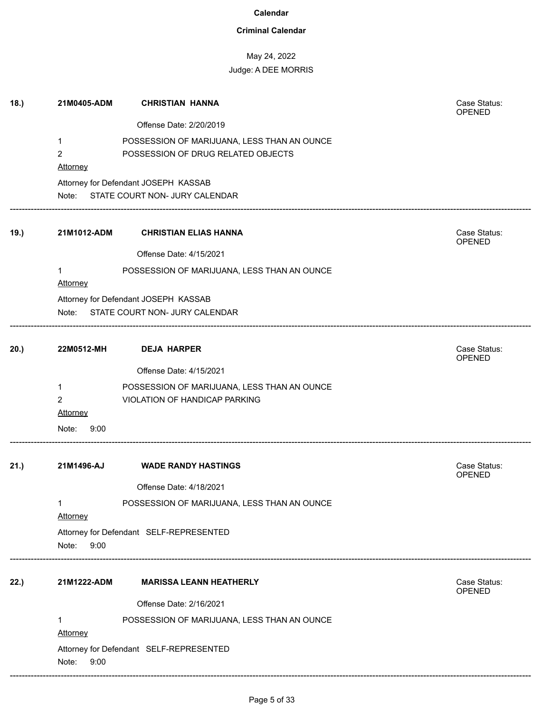### **Criminal Calendar**

| 18.) | 21M0405-ADM              | <b>CHRISTIAN HANNA</b>                      | Case Status:<br><b>OPENED</b> |
|------|--------------------------|---------------------------------------------|-------------------------------|
|      |                          | Offense Date: 2/20/2019                     |                               |
|      | $\mathbf{1}$             | POSSESSION OF MARIJUANA, LESS THAN AN OUNCE |                               |
|      | $\overline{2}$           | POSSESSION OF DRUG RELATED OBJECTS          |                               |
|      | Attorney                 |                                             |                               |
|      |                          | Attorney for Defendant JOSEPH KASSAB        |                               |
|      |                          | Note: STATE COURT NON- JURY CALENDAR        |                               |
| 19.) | 21M1012-ADM              | <b>CHRISTIAN ELIAS HANNA</b>                | Case Status:<br><b>OPENED</b> |
|      |                          | Offense Date: 4/15/2021                     |                               |
|      | $\mathbf{1}$<br>Attorney | POSSESSION OF MARIJUANA, LESS THAN AN OUNCE |                               |
|      |                          | Attorney for Defendant JOSEPH KASSAB        |                               |
|      |                          | Note: STATE COURT NON- JURY CALENDAR        |                               |
| 20.) | 22M0512-MH               | <b>DEJA HARPER</b>                          | Case Status:                  |
|      |                          |                                             | OPENED                        |
|      |                          | Offense Date: 4/15/2021                     |                               |
|      | 1                        | POSSESSION OF MARIJUANA, LESS THAN AN OUNCE |                               |
|      | $\overline{2}$           | VIOLATION OF HANDICAP PARKING               |                               |
|      | <b>Attorney</b>          |                                             |                               |
|      | Note:<br>9:00            |                                             |                               |
| 21.) | 21M1496-AJ               | <b>WADE RANDY HASTINGS</b>                  | Case Status:<br><b>OPENED</b> |
|      |                          | Offense Date: 4/18/2021                     |                               |
|      | 1<br><b>Attorney</b>     | POSSESSION OF MARIJUANA, LESS THAN AN OUNCE |                               |
|      | Note:<br>9:00            | Attorney for Defendant SELF-REPRESENTED     |                               |
| 22.) | 21M1222-ADM              | <b>MARISSA LEANN HEATHERLY</b>              | Case Status:<br>OPENED        |
|      |                          | Offense Date: 2/16/2021                     |                               |
|      | Attorney                 | POSSESSION OF MARIJUANA, LESS THAN AN OUNCE |                               |
|      | Note:<br>9:00            | Attorney for Defendant SELF-REPRESENTED     |                               |
|      |                          |                                             |                               |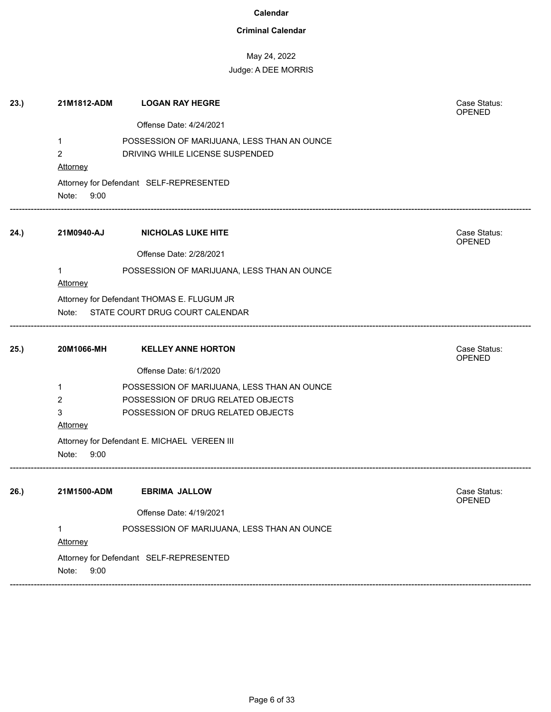### **Criminal Calendar**

## May 24, 2022 Judge: A DEE MORRIS

| 23.) | 21M1812-ADM     | <b>LOGAN RAY HEGRE</b>                       | Case Status:<br>OPENED        |
|------|-----------------|----------------------------------------------|-------------------------------|
|      |                 | Offense Date: 4/24/2021                      |                               |
|      | 1               | POSSESSION OF MARIJUANA, LESS THAN AN OUNCE  |                               |
|      | $\overline{2}$  | DRIVING WHILE LICENSE SUSPENDED              |                               |
|      | <b>Attorney</b> |                                              |                               |
|      |                 | Attorney for Defendant SELF-REPRESENTED      |                               |
|      | Note: 9:00      |                                              |                               |
| 24.) | 21M0940-AJ      | <b>NICHOLAS LUKE HITE</b>                    | Case Status:<br><b>OPENED</b> |
|      |                 | Offense Date: 2/28/2021                      |                               |
|      | 1               | POSSESSION OF MARIJUANA, LESS THAN AN OUNCE  |                               |
|      | <b>Attorney</b> |                                              |                               |
|      |                 | Attorney for Defendant THOMAS E. FLUGUM JR   |                               |
|      |                 | Note: STATE COURT DRUG COURT CALENDAR        |                               |
|      |                 |                                              |                               |
| 25.) | 20M1066-MH      | <b>KELLEY ANNE HORTON</b>                    | Case Status:<br><b>OPENED</b> |
|      |                 | Offense Date: 6/1/2020                       |                               |
|      | 1               | POSSESSION OF MARIJUANA, LESS THAN AN OUNCE  |                               |
|      | 2               | POSSESSION OF DRUG RELATED OBJECTS           |                               |
|      | 3               | POSSESSION OF DRUG RELATED OBJECTS           |                               |
|      | <b>Attorney</b> |                                              |                               |
|      | Note:<br>9:00   | Attorney for Defendant E. MICHAEL VEREEN III |                               |
|      |                 |                                              |                               |
| 26.) | 21M1500-ADM     | <b>EBRIMA JALLOW</b>                         | Case Status:                  |
|      |                 | Offense Date: 4/19/2021                      | OPENED                        |
|      | 1               | POSSESSION OF MARIJUANA, LESS THAN AN OUNCE  |                               |
|      | Attorney        |                                              |                               |
|      |                 | Attorney for Defendant SELF-REPRESENTED      |                               |
|      | Note:<br>9:00   |                                              |                               |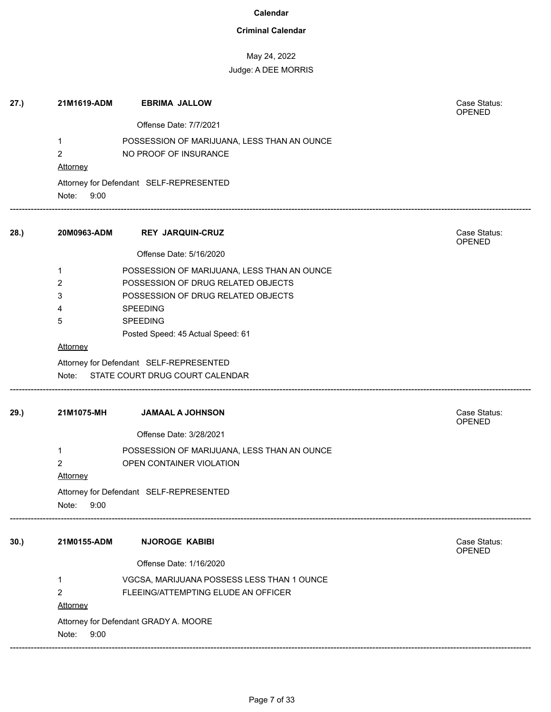### **Criminal Calendar**

| 27.) | 21M1619-ADM                           | <b>EBRIMA JALLOW</b>                        | Case Status:<br>OPENED        |  |  |  |
|------|---------------------------------------|---------------------------------------------|-------------------------------|--|--|--|
|      |                                       | Offense Date: 7/7/2021                      |                               |  |  |  |
|      | 1                                     | POSSESSION OF MARIJUANA, LESS THAN AN OUNCE |                               |  |  |  |
|      | $\overline{2}$                        | NO PROOF OF INSURANCE                       |                               |  |  |  |
|      | <b>Attorney</b>                       |                                             |                               |  |  |  |
|      |                                       | Attorney for Defendant SELF-REPRESENTED     |                               |  |  |  |
|      | Note: 9:00                            |                                             |                               |  |  |  |
| 28.  | 20M0963-ADM                           | <b>REY JARQUIN-CRUZ</b>                     | Case Status:<br><b>OPENED</b> |  |  |  |
|      |                                       | Offense Date: 5/16/2020                     |                               |  |  |  |
|      | 1                                     | POSSESSION OF MARIJUANA, LESS THAN AN OUNCE |                               |  |  |  |
|      | 2                                     | POSSESSION OF DRUG RELATED OBJECTS          |                               |  |  |  |
|      | 3                                     | POSSESSION OF DRUG RELATED OBJECTS          |                               |  |  |  |
|      | 4                                     | <b>SPEEDING</b>                             |                               |  |  |  |
|      | 5                                     | <b>SPEEDING</b>                             |                               |  |  |  |
|      |                                       | Posted Speed: 45 Actual Speed: 61           |                               |  |  |  |
|      | Attorney                              |                                             |                               |  |  |  |
|      |                                       | Attorney for Defendant SELF-REPRESENTED     |                               |  |  |  |
|      |                                       | Note: STATE COURT DRUG COURT CALENDAR       |                               |  |  |  |
| 29.) | 21M1075-MH                            | <b>JAMAAL A JOHNSON</b>                     | Case Status:<br><b>OPENED</b> |  |  |  |
|      |                                       | Offense Date: 3/28/2021                     |                               |  |  |  |
|      | $\mathbf 1$                           | POSSESSION OF MARIJUANA, LESS THAN AN OUNCE |                               |  |  |  |
|      | 2                                     | OPEN CONTAINER VIOLATION                    |                               |  |  |  |
|      | Attorney                              |                                             |                               |  |  |  |
|      |                                       | Attorney for Defendant SELF-REPRESENTED     |                               |  |  |  |
|      | Note: 9:00                            |                                             |                               |  |  |  |
| 30.) | 21M0155-ADM                           | <b>NJOROGE KABIBI</b>                       | Case Status:                  |  |  |  |
|      |                                       |                                             | <b>OPENED</b>                 |  |  |  |
|      |                                       | Offense Date: 1/16/2020                     |                               |  |  |  |
|      | 1                                     | VGCSA, MARIJUANA POSSESS LESS THAN 1 OUNCE  |                               |  |  |  |
|      | $\overline{2}$                        | FLEEING/ATTEMPTING ELUDE AN OFFICER         |                               |  |  |  |
|      | Attorney                              |                                             |                               |  |  |  |
|      | Attorney for Defendant GRADY A. MOORE |                                             |                               |  |  |  |
|      | Note:<br>9:00                         |                                             |                               |  |  |  |
|      |                                       |                                             |                               |  |  |  |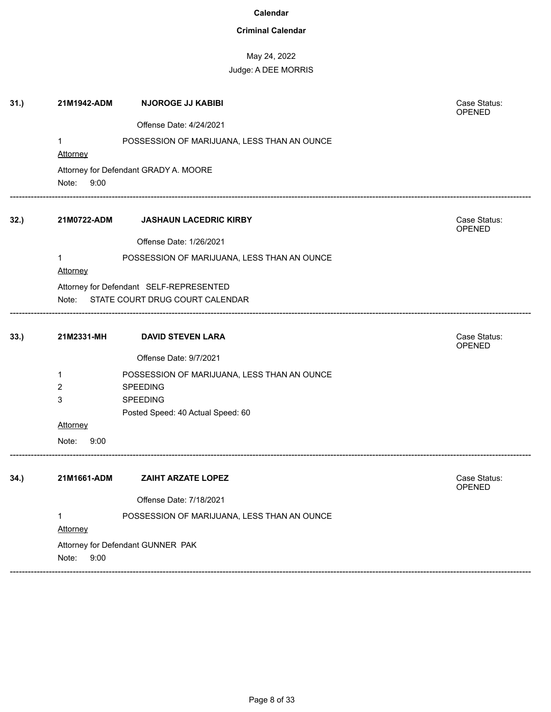### **Criminal Calendar**

| 31.) | 21M1942-ADM     | <b>NJOROGE JJ KABIBI</b>                    | Case Status:<br><b>OPENED</b> |
|------|-----------------|---------------------------------------------|-------------------------------|
|      |                 | Offense Date: 4/24/2021                     |                               |
|      | 1               | POSSESSION OF MARIJUANA, LESS THAN AN OUNCE |                               |
|      | <b>Attorney</b> |                                             |                               |
|      | Note:<br>9:00   | Attorney for Defendant GRADY A. MOORE       |                               |
| 32.) | 21M0722-ADM     | <b>JASHAUN LACEDRIC KIRBY</b>               | Case Status:<br>OPENED        |
|      |                 | Offense Date: 1/26/2021                     |                               |
|      | 1               | POSSESSION OF MARIJUANA, LESS THAN AN OUNCE |                               |
|      | <b>Attorney</b> |                                             |                               |
|      |                 | Attorney for Defendant SELF-REPRESENTED     |                               |
|      |                 | Note: STATE COURT DRUG COURT CALENDAR       |                               |
|      |                 |                                             |                               |
| 33.) | 21M2331-MH      | <b>DAVID STEVEN LARA</b>                    | Case Status:<br>OPENED        |
|      |                 | Offense Date: 9/7/2021                      |                               |
|      | 1               | POSSESSION OF MARIJUANA, LESS THAN AN OUNCE |                               |
|      | 2               | <b>SPEEDING</b>                             |                               |
|      | 3               | SPEEDING                                    |                               |
|      | <b>Attorney</b> | Posted Speed: 40 Actual Speed: 60           |                               |
|      | Note:<br>9:00   |                                             |                               |
|      |                 |                                             |                               |
| 34.) | 21M1661-ADM     | <b>ZAIHT ARZATE LOPEZ</b>                   | Case Status:<br><b>OPENED</b> |
|      |                 | Offense Date: 7/18/2021                     |                               |
|      | 1               | POSSESSION OF MARIJUANA, LESS THAN AN OUNCE |                               |
|      | Attorney        |                                             |                               |
|      |                 | Attorney for Defendant GUNNER PAK           |                               |
|      | Note:<br>9:00   |                                             |                               |
|      |                 |                                             |                               |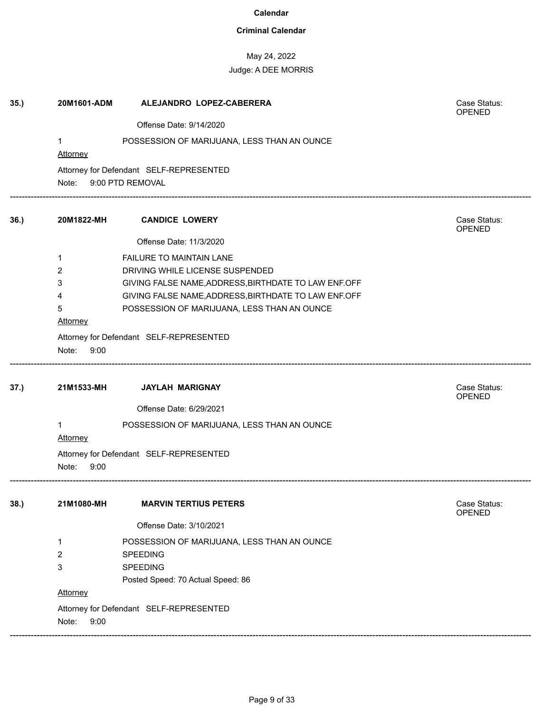### **Criminal Calendar**

## May 24, 2022

| 35.) | 20M1601-ADM                             | ALEJANDRO LOPEZ-CABERERA                             | Case Status:<br><b>OPENED</b> |  |  |
|------|-----------------------------------------|------------------------------------------------------|-------------------------------|--|--|
|      |                                         | Offense Date: 9/14/2020                              |                               |  |  |
|      | 1                                       | POSSESSION OF MARIJUANA, LESS THAN AN OUNCE          |                               |  |  |
|      | <b>Attorney</b>                         |                                                      |                               |  |  |
|      |                                         | Attorney for Defendant SELF-REPRESENTED              |                               |  |  |
|      | Note:                                   | 9:00 PTD REMOVAL                                     |                               |  |  |
| 36.  | 20M1822-MH                              | <b>CANDICE LOWERY</b>                                | Case Status:<br>OPENED        |  |  |
|      |                                         | Offense Date: 11/3/2020                              |                               |  |  |
|      | 1                                       | FAILURE TO MAINTAIN LANE                             |                               |  |  |
|      | $\overline{2}$                          | DRIVING WHILE LICENSE SUSPENDED                      |                               |  |  |
|      | 3                                       | GIVING FALSE NAME, ADDRESS, BIRTHDATE TO LAW ENF.OFF |                               |  |  |
|      | 4                                       | GIVING FALSE NAME, ADDRESS, BIRTHDATE TO LAW ENF.OFF |                               |  |  |
|      | 5                                       | POSSESSION OF MARIJUANA, LESS THAN AN OUNCE          |                               |  |  |
|      | Attorney                                |                                                      |                               |  |  |
|      | Attorney for Defendant SELF-REPRESENTED |                                                      |                               |  |  |
|      | Note:<br>9:00                           |                                                      |                               |  |  |
| 37.) | 21M1533-MH                              | <b>JAYLAH MARIGNAY</b>                               | Case Status:<br>OPENED        |  |  |
|      |                                         | Offense Date: 6/29/2021                              |                               |  |  |
|      | $\mathbf{1}$                            | POSSESSION OF MARIJUANA, LESS THAN AN OUNCE          |                               |  |  |
|      | <b>Attorney</b>                         |                                                      |                               |  |  |
|      |                                         | Attorney for Defendant SELF-REPRESENTED              |                               |  |  |
|      | Note:<br>9:00                           |                                                      |                               |  |  |
| 38.  | 21M1080-MH                              | <b>MARVIN TERTIUS PETERS</b>                         | Case Status:<br><b>OPENED</b> |  |  |
|      |                                         | Offense Date: 3/10/2021                              |                               |  |  |
|      | 1                                       | POSSESSION OF MARIJUANA, LESS THAN AN OUNCE          |                               |  |  |
|      | 2                                       | <b>SPEEDING</b>                                      |                               |  |  |
|      | 3                                       | SPEEDING                                             |                               |  |  |
|      |                                         | Posted Speed: 70 Actual Speed: 86                    |                               |  |  |
|      | Attorney                                |                                                      |                               |  |  |
|      |                                         | Attorney for Defendant SELF-REPRESENTED              |                               |  |  |
|      | Note:<br>9:00                           |                                                      |                               |  |  |
|      |                                         |                                                      |                               |  |  |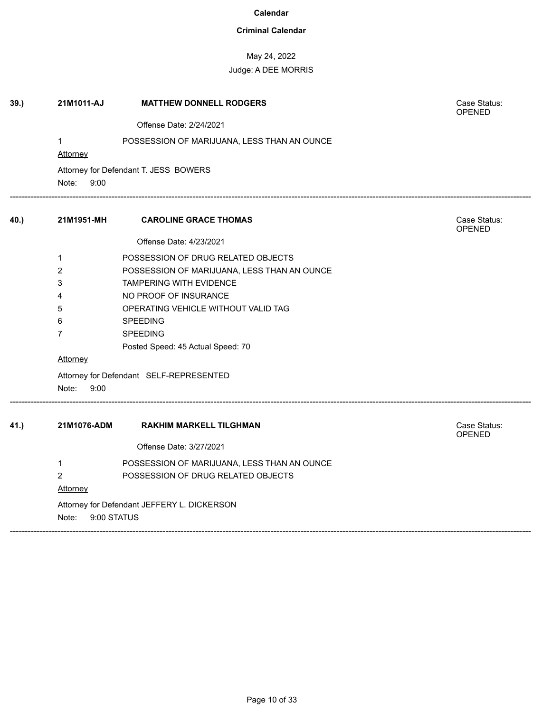### **Criminal Calendar**

## May 24, 2022

## Judge: A DEE MORRIS

| 39.  | 21M1011-AJ           | <b>MATTHEW DONNELL RODGERS</b>              | Case Status:<br><b>OPENED</b> |
|------|----------------------|---------------------------------------------|-------------------------------|
|      |                      | Offense Date: 2/24/2021                     |                               |
|      | 1<br><b>Attorney</b> | POSSESSION OF MARIJUANA, LESS THAN AN OUNCE |                               |
|      | Note: 9:00           | Attorney for Defendant T. JESS BOWERS       |                               |
| 40.) | 21M1951-MH           | <b>CAROLINE GRACE THOMAS</b>                | Case Status:<br>OPENED        |
|      |                      | Offense Date: 4/23/2021                     |                               |
|      | $\mathbf{1}$         | POSSESSION OF DRUG RELATED OBJECTS          |                               |
|      | $\overline{2}$       | POSSESSION OF MARIJUANA, LESS THAN AN OUNCE |                               |
|      | 3                    | TAMPERING WITH EVIDENCE                     |                               |
|      | 4                    | NO PROOF OF INSURANCE                       |                               |
|      | 5                    | OPERATING VEHICLE WITHOUT VALID TAG         |                               |
|      | 6                    | SPEEDING                                    |                               |
|      | $\overline{7}$       | <b>SPEEDING</b>                             |                               |
|      |                      | Posted Speed: 45 Actual Speed: 70           |                               |
|      | Attorney             |                                             |                               |
|      |                      | Attorney for Defendant SELF-REPRESENTED     |                               |
|      | Note:<br>9:00        |                                             |                               |
| 41.) | 21M1076-ADM          | <b>RAKHIM MARKELL TILGHMAN</b>              | Case Status:<br><b>OPENED</b> |
|      |                      | Offense Date: 3/27/2021                     |                               |
|      | 1                    | POSSESSION OF MARIJUANA, LESS THAN AN OUNCE |                               |
|      | $\overline{2}$       | POSSESSION OF DRUG RELATED OBJECTS          |                               |
|      | <b>Attorney</b>      |                                             |                               |
|      |                      | Attorney for Defendant JEFFERY L. DICKERSON |                               |
|      | 9:00 STATUS<br>Note: |                                             |                               |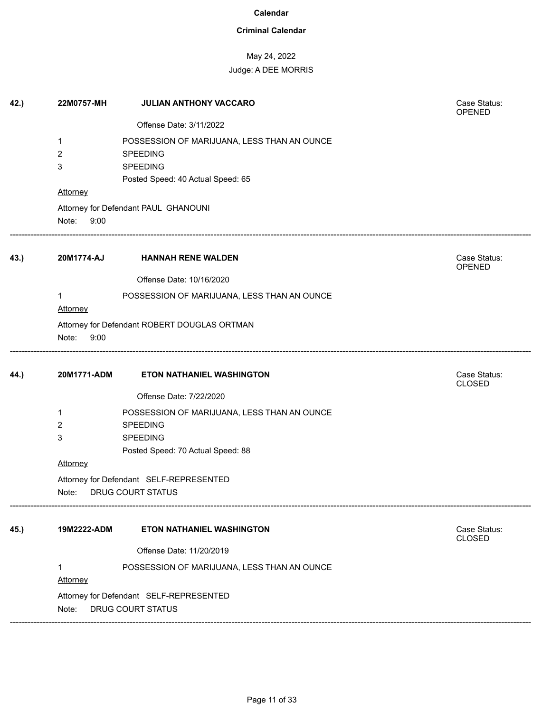### **Criminal Calendar**

## May 24, 2022

| 42.) | 22M0757-MH      | JULIAN ANTHONY VACCARO                                              | Case Status:<br>OPENED        |
|------|-----------------|---------------------------------------------------------------------|-------------------------------|
|      |                 | Offense Date: 3/11/2022                                             |                               |
|      | 1               | POSSESSION OF MARIJUANA, LESS THAN AN OUNCE                         |                               |
|      | 2               | <b>SPEEDING</b>                                                     |                               |
|      | 3               | <b>SPEEDING</b>                                                     |                               |
|      |                 | Posted Speed: 40 Actual Speed: 65                                   |                               |
|      | <b>Attorney</b> |                                                                     |                               |
|      |                 | Attorney for Defendant PAUL GHANOUNI                                |                               |
|      | Note: 9:00      |                                                                     |                               |
| 43.) | 20M1774-AJ      | <b>HANNAH RENE WALDEN</b>                                           | Case Status:<br>OPENED        |
|      |                 | Offense Date: 10/16/2020                                            |                               |
|      | 1               | POSSESSION OF MARIJUANA, LESS THAN AN OUNCE                         |                               |
|      | <b>Attorney</b> |                                                                     |                               |
|      | Note:<br>9:00   | Attorney for Defendant ROBERT DOUGLAS ORTMAN                        |                               |
| 44.) | 20M1771-ADM     | <b>ETON NATHANIEL WASHINGTON</b>                                    | Case Status:<br><b>CLOSED</b> |
|      |                 | Offense Date: 7/22/2020                                             |                               |
|      | 1               | POSSESSION OF MARIJUANA, LESS THAN AN OUNCE                         |                               |
|      | 2               | <b>SPEEDING</b>                                                     |                               |
|      | 3               | <b>SPEEDING</b>                                                     |                               |
|      |                 | Posted Speed: 70 Actual Speed: 88                                   |                               |
|      | <b>Attorney</b> |                                                                     |                               |
|      | Note:           | Attorney for Defendant SELF-REPRESENTED<br><b>DRUG COURT STATUS</b> |                               |
|      |                 |                                                                     |                               |
| 45.) | 19M2222-ADM     | <b>ETON NATHANIEL WASHINGTON</b>                                    | Case Status:<br><b>CLOSED</b> |
|      |                 | Offense Date: 11/20/2019                                            |                               |
|      | 1               | POSSESSION OF MARIJUANA, LESS THAN AN OUNCE                         |                               |
|      | Attorney        |                                                                     |                               |
|      | Note:           | Attorney for Defendant SELF-REPRESENTED<br><b>DRUG COURT STATUS</b> |                               |
|      |                 |                                                                     |                               |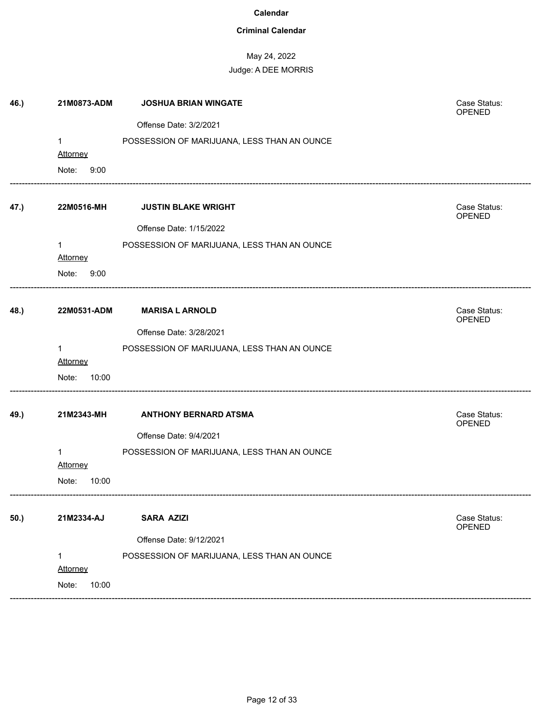### **Criminal Calendar**

| 46.) | 21M0873-ADM     | <b>JOSHUA BRIAN WINGATE</b>                 | Case Status:<br><b>OPENED</b> |
|------|-----------------|---------------------------------------------|-------------------------------|
|      |                 | Offense Date: 3/2/2021                      |                               |
|      | 1               | POSSESSION OF MARIJUANA, LESS THAN AN OUNCE |                               |
|      | Attorney        |                                             |                               |
|      | Note:<br>9:00   |                                             |                               |
| 47.) | 22M0516-MH      | <b>JUSTIN BLAKE WRIGHT</b>                  | Case Status:<br>OPENED        |
|      |                 | Offense Date: 1/15/2022                     |                               |
|      | 1               | POSSESSION OF MARIJUANA, LESS THAN AN OUNCE |                               |
|      | <b>Attorney</b> |                                             |                               |
|      | 9:00<br>Note:   |                                             |                               |
| 48.) | 22M0531-ADM     | <b>MARISA L ARNOLD</b>                      | Case Status:<br>OPENED        |
|      |                 | Offense Date: 3/28/2021                     |                               |
|      | $\mathbf 1$     | POSSESSION OF MARIJUANA, LESS THAN AN OUNCE |                               |
|      | Attorney        |                                             |                               |
|      | Note:<br>10:00  |                                             |                               |
| 49.) | 21M2343-MH      | <b>ANTHONY BERNARD ATSMA</b>                | Case Status:<br>OPENED        |
|      |                 | Offense Date: 9/4/2021                      |                               |
|      | 1               | POSSESSION OF MARIJUANA, LESS THAN AN OUNCE |                               |
|      | <b>Attorney</b> |                                             |                               |
|      | 10:00<br>Note:  |                                             |                               |
| 50.) | 21M2334-AJ      | <b>SARA AZIZI</b>                           | Case Status:<br>OPENED        |
|      |                 | Offense Date: 9/12/2021                     |                               |
|      | 1               | POSSESSION OF MARIJUANA, LESS THAN AN OUNCE |                               |
|      | Attorney        |                                             |                               |
|      | 10:00<br>Note:  |                                             |                               |
|      |                 |                                             |                               |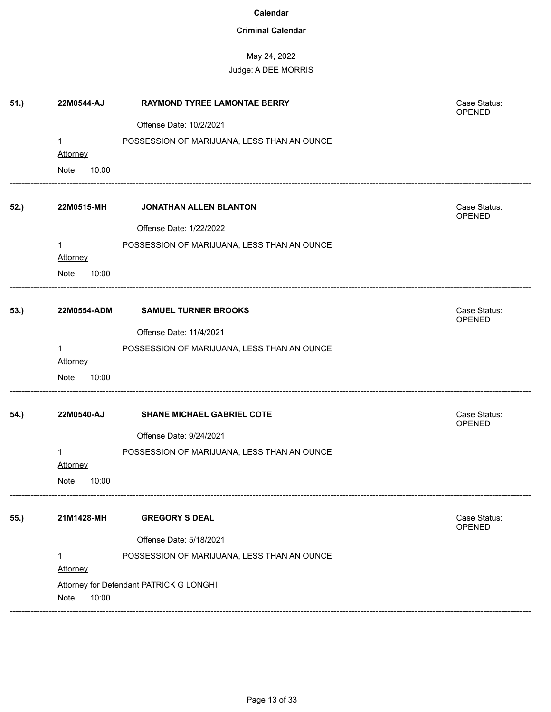### **Criminal Calendar**

# May 24, 2022

| 51.) | 22M0544-AJ      | <b>RAYMOND TYREE LAMONTAE BERRY</b>         | Case Status:<br>OPENED        |
|------|-----------------|---------------------------------------------|-------------------------------|
|      |                 | Offense Date: 10/2/2021                     |                               |
|      | 1               | POSSESSION OF MARIJUANA, LESS THAN AN OUNCE |                               |
|      | <b>Attorney</b> |                                             |                               |
|      | 10:00<br>Note:  |                                             |                               |
| 52.) | 22M0515-MH      | <b>JONATHAN ALLEN BLANTON</b>               | Case Status:<br><b>OPENED</b> |
|      |                 | Offense Date: 1/22/2022                     |                               |
|      | 1<br>Attorney   | POSSESSION OF MARIJUANA, LESS THAN AN OUNCE |                               |
|      | Note:<br>10:00  |                                             |                               |
| 53.) | 22M0554-ADM     | <b>SAMUEL TURNER BROOKS</b>                 | Case Status:<br>OPENED        |
|      |                 | Offense Date: 11/4/2021                     |                               |
|      | 1               | POSSESSION OF MARIJUANA, LESS THAN AN OUNCE |                               |
|      | Attorney        |                                             |                               |
|      | 10:00<br>Note:  |                                             |                               |
| 54.) | 22M0540-AJ      | <b>SHANE MICHAEL GABRIEL COTE</b>           | Case Status:<br><b>OPENED</b> |
|      |                 | Offense Date: 9/24/2021                     |                               |
|      | 1               | POSSESSION OF MARIJUANA, LESS THAN AN OUNCE |                               |
|      | <b>Attorney</b> |                                             |                               |
|      | 10:00<br>Note:  |                                             |                               |
| 55.) | 21M1428-MH      | <b>GREGORY S DEAL</b>                       | Case Status:<br>OPENED        |
|      |                 | Offense Date: 5/18/2021                     |                               |
|      | 1<br>Attorney   | POSSESSION OF MARIJUANA, LESS THAN AN OUNCE |                               |
|      | 10:00<br>Note:  | Attorney for Defendant PATRICK G LONGHI     |                               |
|      |                 |                                             |                               |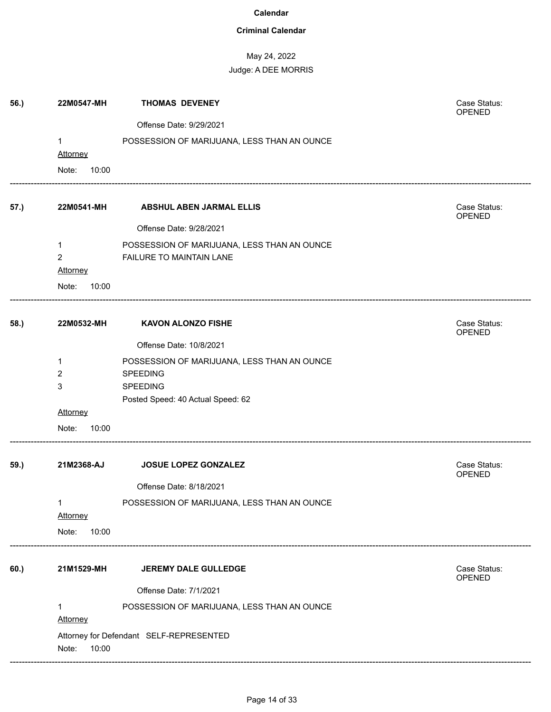### **Criminal Calendar**

| 56.) | 22M0547-MH     | <b>THOMAS DEVENEY</b>                       | Case Status:<br>OPENED |
|------|----------------|---------------------------------------------|------------------------|
|      |                | Offense Date: 9/29/2021                     |                        |
|      | 1              | POSSESSION OF MARIJUANA, LESS THAN AN OUNCE |                        |
|      | Attorney       |                                             |                        |
|      | Note:<br>10:00 |                                             |                        |
| 57.) | 22M0541-MH     | <b>ABSHUL ABEN JARMAL ELLIS</b>             | Case Status:<br>OPENED |
|      |                | Offense Date: 9/28/2021                     |                        |
|      | 1              | POSSESSION OF MARIJUANA, LESS THAN AN OUNCE |                        |
|      | $\overline{2}$ | FAILURE TO MAINTAIN LANE                    |                        |
|      | Attorney       |                                             |                        |
|      | 10:00<br>Note: |                                             |                        |
| 58.) | 22M0532-MH     | <b>KAVON ALONZO FISHE</b>                   | Case Status:<br>OPENED |
|      |                | Offense Date: 10/8/2021                     |                        |
|      | 1              | POSSESSION OF MARIJUANA, LESS THAN AN OUNCE |                        |
|      | 2              | <b>SPEEDING</b>                             |                        |
|      | 3              | SPEEDING                                    |                        |
|      |                | Posted Speed: 40 Actual Speed: 62           |                        |
|      | Attorney       |                                             |                        |
|      | 10:00<br>Note: |                                             |                        |
| 59.) | 21M2368-AJ     | JOSUE LOPEZ GONZALEZ                        | Case Status:<br>OPENED |
|      |                | Offense Date: 8/18/2021                     |                        |
|      | 1              | POSSESSION OF MARIJUANA, LESS THAN AN OUNCE |                        |
|      | Attorney       |                                             |                        |
|      | 10:00<br>Note: |                                             |                        |
| 60.) | 21M1529-MH     | JEREMY DALE GULLEDGE                        | Case Status:           |
|      |                |                                             | OPENED                 |
|      |                | Offense Date: 7/1/2021                      |                        |
|      | 1              | POSSESSION OF MARIJUANA, LESS THAN AN OUNCE |                        |
|      | Attorney       |                                             |                        |
|      | 10:00<br>Note: | Attorney for Defendant SELF-REPRESENTED     |                        |
|      |                |                                             |                        |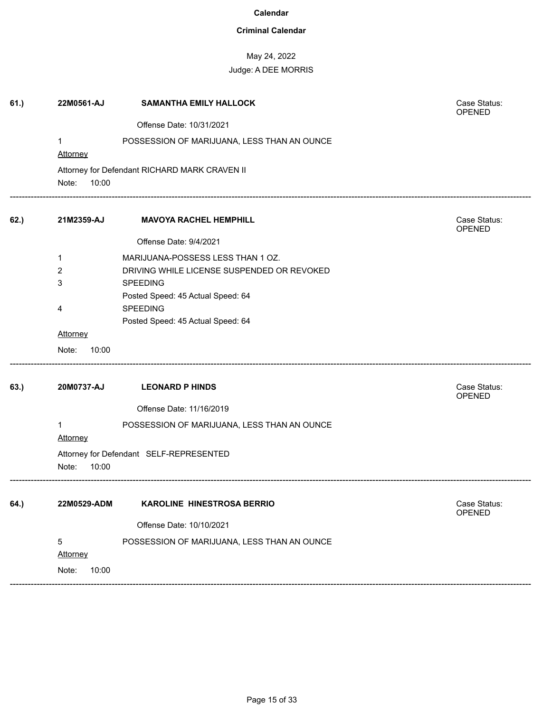### **Criminal Calendar**

## May 24, 2022

### Judge: A DEE MORRIS

| 61.) | 22M0561-AJ                              | <b>SAMANTHA EMILY HALLOCK</b>                        | Case Status:<br><b>OPENED</b> |  |  |
|------|-----------------------------------------|------------------------------------------------------|-------------------------------|--|--|
|      |                                         | Offense Date: 10/31/2021                             |                               |  |  |
|      | 1                                       | POSSESSION OF MARIJUANA, LESS THAN AN OUNCE          |                               |  |  |
|      | <b>Attorney</b>                         |                                                      |                               |  |  |
|      |                                         | Attorney for Defendant RICHARD MARK CRAVEN II        |                               |  |  |
|      | Note:<br>10:00                          |                                                      |                               |  |  |
| 62.) | 21M2359-AJ                              | <b>MAVOYA RACHEL HEMPHILL</b>                        | Case Status:<br>OPENED        |  |  |
|      |                                         | Offense Date: 9/4/2021                               |                               |  |  |
|      | 1                                       | MARIJUANA-POSSESS LESS THAN 1 OZ.                    |                               |  |  |
|      | 2                                       | DRIVING WHILE LICENSE SUSPENDED OR REVOKED           |                               |  |  |
|      | 3                                       | <b>SPEEDING</b>                                      |                               |  |  |
|      |                                         | Posted Speed: 45 Actual Speed: 64                    |                               |  |  |
|      | 4                                       | <b>SPEEDING</b><br>Posted Speed: 45 Actual Speed: 64 |                               |  |  |
|      | Attorney                                |                                                      |                               |  |  |
|      | Note:<br>10:00                          |                                                      |                               |  |  |
|      |                                         |                                                      |                               |  |  |
| 63.) | 20M0737-AJ                              | <b>LEONARD P HINDS</b>                               | Case Status:<br>OPENED        |  |  |
|      |                                         | Offense Date: 11/16/2019                             |                               |  |  |
|      | $\mathbf{1}$                            | POSSESSION OF MARIJUANA, LESS THAN AN OUNCE          |                               |  |  |
|      | <b>Attorney</b>                         |                                                      |                               |  |  |
|      | Attorney for Defendant SELF-REPRESENTED |                                                      |                               |  |  |
|      | Note:<br>10:00                          |                                                      |                               |  |  |
| 64.) | 22M0529-ADM                             | <b>KAROLINE HINESTROSA BERRIO</b>                    | Case Status:                  |  |  |
|      |                                         |                                                      | OPENED                        |  |  |
|      |                                         | Offense Date: 10/10/2021                             |                               |  |  |
|      | 5                                       | POSSESSION OF MARIJUANA, LESS THAN AN OUNCE          |                               |  |  |
|      | Attorney                                |                                                      |                               |  |  |
|      | 10:00<br>Note:                          |                                                      |                               |  |  |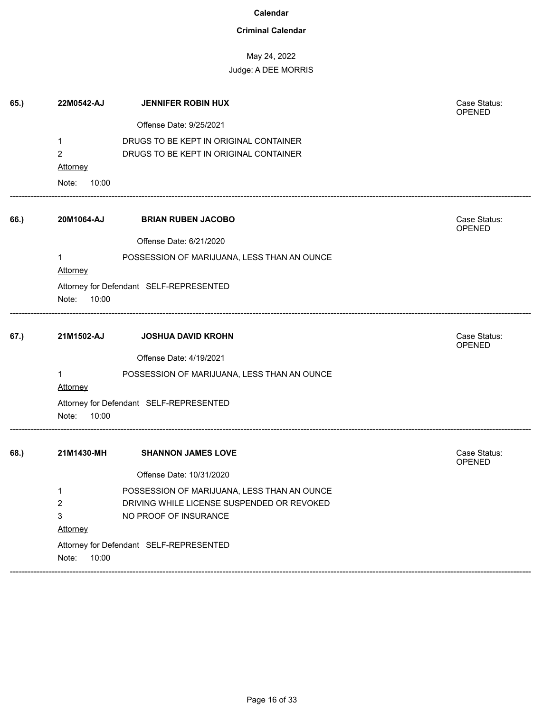### **Criminal Calendar**

| 65.) | 22M0542-AJ               | <b>JENNIFER ROBIN HUX</b>                   | Case Status:<br>OPENED |
|------|--------------------------|---------------------------------------------|------------------------|
|      |                          | Offense Date: 9/25/2021                     |                        |
|      | 1                        | DRUGS TO BE KEPT IN ORIGINAL CONTAINER      |                        |
|      | 2                        | DRUGS TO BE KEPT IN ORIGINAL CONTAINER      |                        |
|      | <b>Attorney</b>          |                                             |                        |
|      | 10:00<br>Note:           |                                             |                        |
| 66.) | 20M1064-AJ               | <b>BRIAN RUBEN JACOBO</b>                   | Case Status:<br>OPENED |
|      |                          | Offense Date: 6/21/2020                     |                        |
|      | 1                        | POSSESSION OF MARIJUANA, LESS THAN AN OUNCE |                        |
|      | Attorney                 |                                             |                        |
|      |                          | Attorney for Defendant SELF-REPRESENTED     |                        |
|      | Note:<br>10:00           |                                             |                        |
| 67.) | 21M1502-AJ               | <b>JOSHUA DAVID KROHN</b>                   | Case Status:<br>OPENED |
|      |                          | Offense Date: 4/19/2021                     |                        |
|      | $\mathbf{1}$<br>Attorney | POSSESSION OF MARIJUANA, LESS THAN AN OUNCE |                        |
|      |                          | Attorney for Defendant SELF-REPRESENTED     |                        |
|      | 10:00<br>Note:           |                                             |                        |
| 68.) | 21M1430-MH               | <b>SHANNON JAMES LOVE</b>                   | Case Status:<br>OPENED |
|      |                          | Offense Date: 10/31/2020                    |                        |
|      | 1                        | POSSESSION OF MARIJUANA, LESS THAN AN OUNCE |                        |
|      | 2                        | DRIVING WHILE LICENSE SUSPENDED OR REVOKED  |                        |
|      | 3                        | NO PROOF OF INSURANCE                       |                        |
|      | Attorney                 |                                             |                        |
|      |                          | Attorney for Defendant SELF-REPRESENTED     |                        |
|      | Note:<br>10:00           |                                             |                        |
|      |                          |                                             |                        |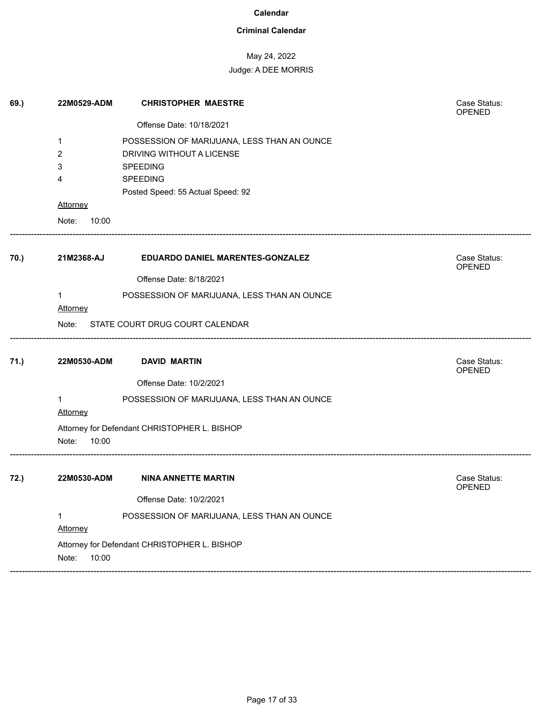### **Criminal Calendar**

## May 24, 2022

| 69.) | 22M0529-ADM                                  | <b>CHRISTOPHER MAESTRE</b>                   | Case Status:<br>OPENED        |  |  |
|------|----------------------------------------------|----------------------------------------------|-------------------------------|--|--|
|      |                                              | Offense Date: 10/18/2021                     |                               |  |  |
|      | 1                                            | POSSESSION OF MARIJUANA, LESS THAN AN OUNCE  |                               |  |  |
|      | 2                                            | DRIVING WITHOUT A LICENSE                    |                               |  |  |
|      | 3                                            | <b>SPEEDING</b>                              |                               |  |  |
|      | 4                                            | <b>SPEEDING</b>                              |                               |  |  |
|      |                                              | Posted Speed: 55 Actual Speed: 92            |                               |  |  |
|      | <b>Attorney</b>                              |                                              |                               |  |  |
|      | Note:<br>10:00                               |                                              |                               |  |  |
| 70.) | 21M2368-AJ                                   | EDUARDO DANIEL MARENTES-GONZALEZ             | Case Status:<br>OPENED        |  |  |
|      |                                              | Offense Date: 8/18/2021                      |                               |  |  |
|      | 1                                            | POSSESSION OF MARIJUANA, LESS THAN AN OUNCE  |                               |  |  |
|      | Attorney                                     |                                              |                               |  |  |
|      | Note:                                        | STATE COURT DRUG COURT CALENDAR              |                               |  |  |
| 71.) | 22M0530-ADM                                  | <b>DAVID MARTIN</b>                          | Case Status:                  |  |  |
|      |                                              | Offense Date: 10/2/2021                      | <b>OPENED</b>                 |  |  |
|      |                                              |                                              |                               |  |  |
|      | 1<br>Attorney                                | POSSESSION OF MARIJUANA, LESS THAN AN OUNCE  |                               |  |  |
|      | Note:<br>10:00                               | Attorney for Defendant CHRISTOPHER L. BISHOP |                               |  |  |
| 72.) | 22M0530-ADM                                  | <b>NINA ANNETTE MARTIN</b>                   | Case Status:<br><b>OPENED</b> |  |  |
|      |                                              | Offense Date: 10/2/2021                      |                               |  |  |
|      | 1                                            | POSSESSION OF MARIJUANA, LESS THAN AN OUNCE  |                               |  |  |
|      | Attorney                                     |                                              |                               |  |  |
|      | Attorney for Defendant CHRISTOPHER L. BISHOP |                                              |                               |  |  |
|      | 10:00<br>Note:                               |                                              |                               |  |  |
|      |                                              |                                              |                               |  |  |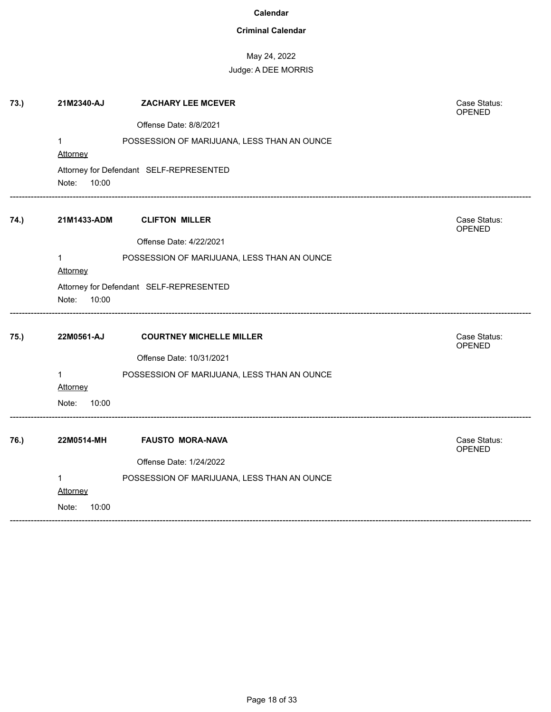### **Criminal Calendar**

# May 24, 2022

| 73.) | 21M2340-AJ     | <b>ZACHARY LEE MCEVER</b>                   | Case Status:<br><b>OPENED</b> |
|------|----------------|---------------------------------------------|-------------------------------|
|      |                | Offense Date: 8/8/2021                      |                               |
|      | 1<br>Attorney  | POSSESSION OF MARIJUANA, LESS THAN AN OUNCE |                               |
|      | Note: 10:00    | Attorney for Defendant SELF-REPRESENTED     |                               |
| 74.) | 21M1433-ADM    | <b>CLIFTON MILLER</b>                       | Case Status:<br>OPENED        |
|      |                | Offense Date: 4/22/2021                     |                               |
|      | 1<br>Attorney  | POSSESSION OF MARIJUANA, LESS THAN AN OUNCE |                               |
|      | Note:<br>10:00 | Attorney for Defendant SELF-REPRESENTED     |                               |
| 75.) | 22M0561-AJ     | <b>COURTNEY MICHELLE MILLER</b>             | Case Status:<br>OPENED        |
|      |                | Offense Date: 10/31/2021                    |                               |
|      | $\mathbf 1$    | POSSESSION OF MARIJUANA, LESS THAN AN OUNCE |                               |
|      | Attorney       |                                             |                               |
|      | 10:00<br>Note: |                                             |                               |
| 76.) | 22M0514-MH     | <b>FAUSTO MORA-NAVA</b>                     | Case Status:<br>OPENED        |
|      |                | Offense Date: 1/24/2022                     |                               |
|      | $\mathbf 1$    | POSSESSION OF MARIJUANA, LESS THAN AN OUNCE |                               |
|      | Attorney       |                                             |                               |
|      | 10:00<br>Note: |                                             |                               |
|      |                |                                             |                               |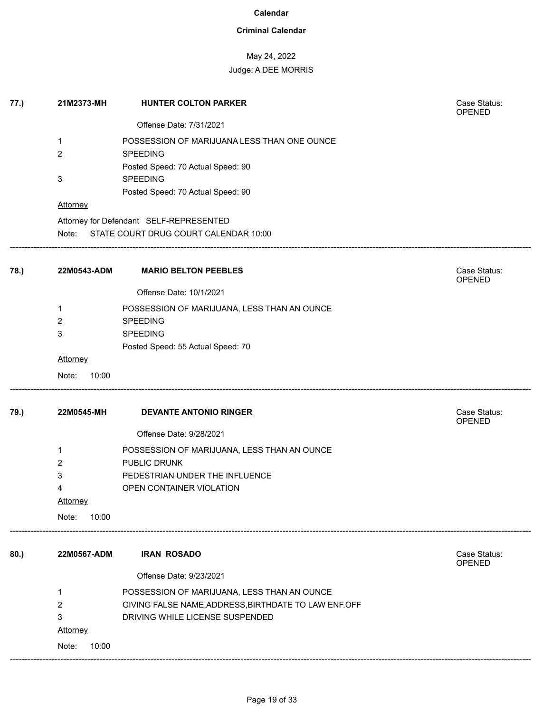### **Criminal Calendar**

## May 24, 2022

## Judge: A DEE MORRIS

| 77.) | 21M2373-MH              | <b>HUNTER COLTON PARKER</b>                          | Case Status:<br><b>OPENED</b> |
|------|-------------------------|------------------------------------------------------|-------------------------------|
|      |                         | Offense Date: 7/31/2021                              |                               |
|      | 1                       | POSSESSION OF MARIJUANA LESS THAN ONE OUNCE          |                               |
|      | 2                       | <b>SPEEDING</b>                                      |                               |
|      |                         | Posted Speed: 70 Actual Speed: 90                    |                               |
|      | 3                       | <b>SPEEDING</b>                                      |                               |
|      |                         | Posted Speed: 70 Actual Speed: 90                    |                               |
|      | Attorney                |                                                      |                               |
|      |                         | Attorney for Defendant SELF-REPRESENTED              |                               |
|      | Note:                   | STATE COURT DRUG COURT CALENDAR 10:00                |                               |
| 78.) | 22M0543-ADM             | <b>MARIO BELTON PEEBLES</b>                          | Case Status:<br>OPENED        |
|      |                         | Offense Date: 10/1/2021                              |                               |
|      | 1                       | POSSESSION OF MARIJUANA, LESS THAN AN OUNCE          |                               |
|      | 2                       | <b>SPEEDING</b>                                      |                               |
|      | 3                       | <b>SPEEDING</b>                                      |                               |
|      |                         | Posted Speed: 55 Actual Speed: 70                    |                               |
|      | <b>Attorney</b>         |                                                      |                               |
|      | Note:<br>10:00          |                                                      |                               |
| 79.) | 22M0545-MH              | <b>DEVANTE ANTONIO RINGER</b>                        | Case Status:<br><b>OPENED</b> |
|      |                         | Offense Date: 9/28/2021                              |                               |
|      | 1                       | POSSESSION OF MARIJUANA, LESS THAN AN OUNCE          |                               |
|      | 2                       | PUBLIC DRUNK                                         |                               |
|      | 3                       | PEDESTRIAN UNDER THE INFLUENCE                       |                               |
|      | 4                       | OPEN CONTAINER VIOLATION                             |                               |
|      | Attorney                |                                                      |                               |
|      | Note:<br>10:00          |                                                      |                               |
| 80.  | 22M0567-ADM             | <b>IRAN ROSADO</b>                                   | Case Status:                  |
|      |                         |                                                      | OPENED                        |
|      |                         | Offense Date: 9/23/2021                              |                               |
|      | 1                       | POSSESSION OF MARIJUANA, LESS THAN AN OUNCE          |                               |
|      | $\overline{\mathbf{c}}$ | GIVING FALSE NAME, ADDRESS, BIRTHDATE TO LAW ENF.OFF |                               |
|      | 3                       | DRIVING WHILE LICENSE SUSPENDED                      |                               |
|      | <b>Attorney</b>         |                                                      |                               |
|      | 10:00<br>Note:          |                                                      |                               |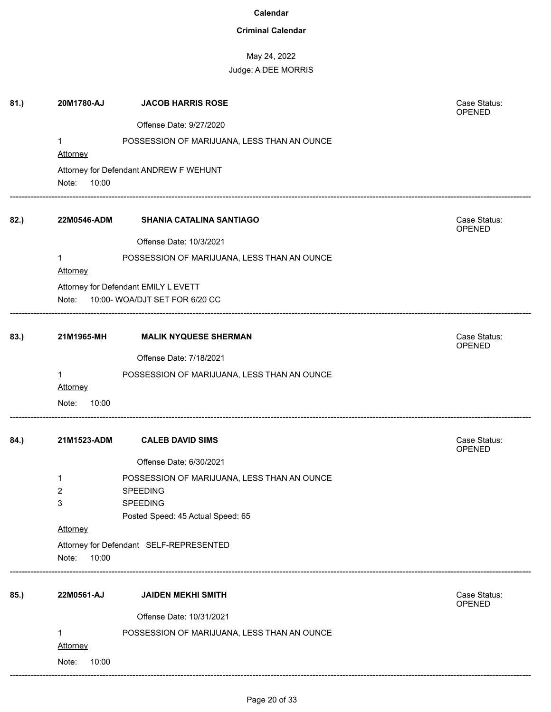### **Criminal Calendar**

# May 24, 2022

| 81.) | 20M1780-AJ                     | <b>JACOB HARRIS ROSE</b>                    | Case Status:<br>OPENED        |
|------|--------------------------------|---------------------------------------------|-------------------------------|
|      |                                | Offense Date: 9/27/2020                     |                               |
|      | 1.                             | POSSESSION OF MARIJUANA, LESS THAN AN OUNCE |                               |
|      | Attorney                       |                                             |                               |
|      |                                | Attorney for Defendant ANDREW F WEHUNT      |                               |
|      | Note:<br>10:00                 |                                             |                               |
| 82.) | 22M0546-ADM                    | <b>SHANIA CATALINA SANTIAGO</b>             | Case Status:<br>OPENED        |
|      |                                | Offense Date: 10/3/2021                     |                               |
|      | $\mathbf 1$<br><b>Attorney</b> | POSSESSION OF MARIJUANA, LESS THAN AN OUNCE |                               |
|      |                                | Attorney for Defendant EMILY L EVETT        |                               |
|      |                                | Note: 10:00-WOA/DJT SET FOR 6/20 CC         |                               |
| 83.) | 21M1965-MH                     | <b>MALIK NYQUESE SHERMAN</b>                | Case Status:<br><b>OPENED</b> |
|      |                                | Offense Date: 7/18/2021                     |                               |
|      | 1                              | POSSESSION OF MARIJUANA, LESS THAN AN OUNCE |                               |
|      | <b>Attorney</b>                |                                             |                               |
|      | 10:00<br>Note:                 |                                             |                               |
| 84.) | 21M1523-ADM                    | <b>CALEB DAVID SIMS</b>                     | Case Status:<br>OPENED        |
|      |                                | Offense Date: 6/30/2021                     |                               |
|      | 1                              | POSSESSION OF MARIJUANA, LESS THAN AN OUNCE |                               |
|      | 2                              | <b>SPEEDING</b>                             |                               |
|      | 3                              | SPEEDING                                    |                               |
|      |                                | Posted Speed: 45 Actual Speed: 65           |                               |
|      | Attorney                       |                                             |                               |
|      | Note:<br>10:00                 | Attorney for Defendant SELF-REPRESENTED     |                               |
| 85.) | 22M0561-AJ                     | <b>JAIDEN MEKHI SMITH</b>                   | Case Status:<br>OPENED        |
|      |                                | Offense Date: 10/31/2021                    |                               |
|      | 1                              | POSSESSION OF MARIJUANA, LESS THAN AN OUNCE |                               |
|      | Attorney                       |                                             |                               |
|      | Note:<br>10:00                 |                                             |                               |
|      |                                |                                             |                               |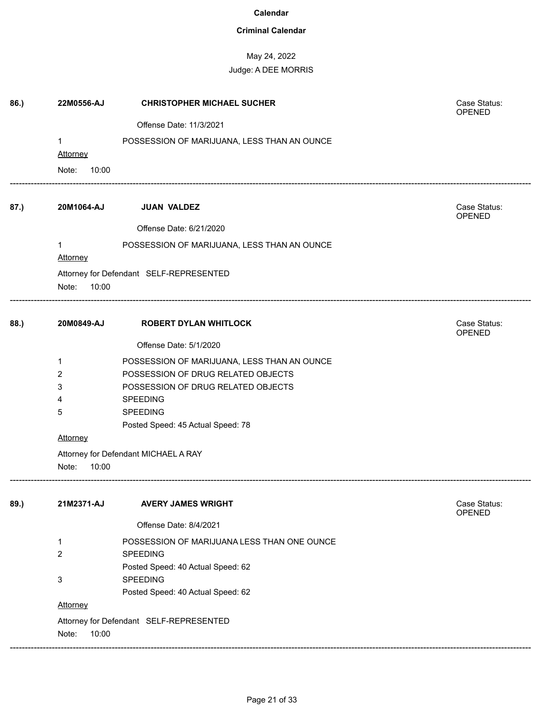### **Criminal Calendar**

# May 24, 2022

|      | 1<br>Attorney            | Offense Date: 11/3/2021<br>POSSESSION OF MARIJUANA, LESS THAN AN OUNCE |                               |
|------|--------------------------|------------------------------------------------------------------------|-------------------------------|
|      |                          |                                                                        |                               |
|      |                          |                                                                        |                               |
|      |                          |                                                                        |                               |
|      | Note:<br>10:00           |                                                                        |                               |
| 87.) | 20M1064-AJ               | <b>JUAN VALDEZ</b>                                                     | Case Status:<br><b>OPENED</b> |
|      |                          | Offense Date: 6/21/2020                                                |                               |
|      | $\mathbf{1}$<br>Attorney | POSSESSION OF MARIJUANA, LESS THAN AN OUNCE                            |                               |
|      |                          | Attorney for Defendant SELF-REPRESENTED                                |                               |
|      | Note:<br>10:00           |                                                                        |                               |
| 88.) | 20M0849-AJ               | <b>ROBERT DYLAN WHITLOCK</b>                                           | Case Status:<br>OPENED        |
|      |                          | Offense Date: 5/1/2020                                                 |                               |
|      | 1                        | POSSESSION OF MARIJUANA, LESS THAN AN OUNCE                            |                               |
|      | 2                        | POSSESSION OF DRUG RELATED OBJECTS                                     |                               |
|      | 3                        | POSSESSION OF DRUG RELATED OBJECTS                                     |                               |
|      | 4                        | <b>SPEEDING</b>                                                        |                               |
|      | 5                        | SPEEDING                                                               |                               |
|      |                          | Posted Speed: 45 Actual Speed: 78                                      |                               |
|      | Attorney                 |                                                                        |                               |
|      | Note:<br>10:00           | Attorney for Defendant MICHAEL A RAY                                   |                               |
| 89.) | 21M2371-AJ               | <b>AVERY JAMES WRIGHT</b>                                              | Case Status:<br><b>OPENED</b> |
|      |                          | Offense Date: 8/4/2021                                                 |                               |
|      | 1                        | POSSESSION OF MARIJUANA LESS THAN ONE OUNCE                            |                               |
|      | $\overline{c}$           | SPEEDING                                                               |                               |
|      |                          | Posted Speed: 40 Actual Speed: 62                                      |                               |
|      | 3                        | <b>SPEEDING</b>                                                        |                               |
|      |                          | Posted Speed: 40 Actual Speed: 62                                      |                               |
|      | Attorney                 |                                                                        |                               |
|      | 10:00<br>Note:           | Attorney for Defendant SELF-REPRESENTED                                |                               |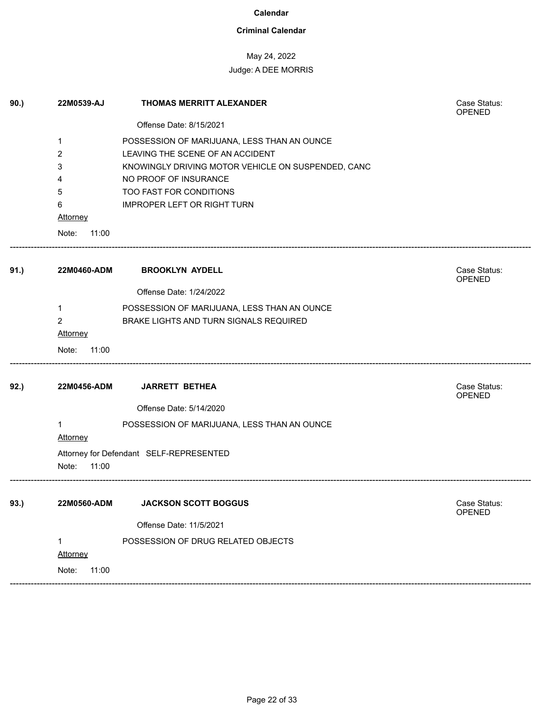### **Criminal Calendar**

## May 24, 2022

| 90.) | 22M0539-AJ                        | <b>THOMAS MERRITT ALEXANDER</b>                                                       | Case Status:<br><b>OPENED</b> |
|------|-----------------------------------|---------------------------------------------------------------------------------------|-------------------------------|
|      |                                   | Offense Date: 8/15/2021                                                               |                               |
|      | 1                                 | POSSESSION OF MARIJUANA, LESS THAN AN OUNCE                                           |                               |
|      | 2                                 | LEAVING THE SCENE OF AN ACCIDENT                                                      |                               |
|      | 3                                 | KNOWINGLY DRIVING MOTOR VEHICLE ON SUSPENDED, CANC                                    |                               |
|      | 4                                 | NO PROOF OF INSURANCE                                                                 |                               |
|      | 5                                 | TOO FAST FOR CONDITIONS                                                               |                               |
|      | 6                                 | <b>IMPROPER LEFT OR RIGHT TURN</b>                                                    |                               |
|      | <b>Attorney</b>                   |                                                                                       |                               |
|      | 11:00<br>Note:                    |                                                                                       |                               |
| 91.) | 22M0460-ADM                       | <b>BROOKLYN AYDELL</b>                                                                | Case Status:                  |
|      |                                   | Offense Date: 1/24/2022                                                               | <b>OPENED</b>                 |
|      |                                   |                                                                                       |                               |
|      | 1                                 | POSSESSION OF MARIJUANA, LESS THAN AN OUNCE<br>BRAKE LIGHTS AND TURN SIGNALS REQUIRED |                               |
|      | $\overline{2}$<br><b>Attorney</b> |                                                                                       |                               |
|      |                                   |                                                                                       |                               |
|      | Note:<br>11:00                    |                                                                                       |                               |
| 92.) | 22M0456-ADM                       | <b>JARRETT BETHEA</b>                                                                 | Case Status:<br>OPENED        |
|      |                                   | Offense Date: 5/14/2020                                                               |                               |
|      | $\mathbf{1}$                      | POSSESSION OF MARIJUANA, LESS THAN AN OUNCE                                           |                               |
|      | Attorney                          |                                                                                       |                               |
|      |                                   | Attorney for Defendant SELF-REPRESENTED                                               |                               |
|      | Note:<br>11:00                    |                                                                                       |                               |
| 93.) | 22M0560-ADM                       | <b>JACKSON SCOTT BOGGUS</b>                                                           | Case Status:                  |
|      |                                   |                                                                                       | OPENED                        |
|      |                                   | Offense Date: 11/5/2021                                                               |                               |
|      | 1                                 | POSSESSION OF DRUG RELATED OBJECTS                                                    |                               |
|      | <b>Attorney</b>                   |                                                                                       |                               |
|      | 11:00<br>Note:                    |                                                                                       |                               |
|      |                                   |                                                                                       |                               |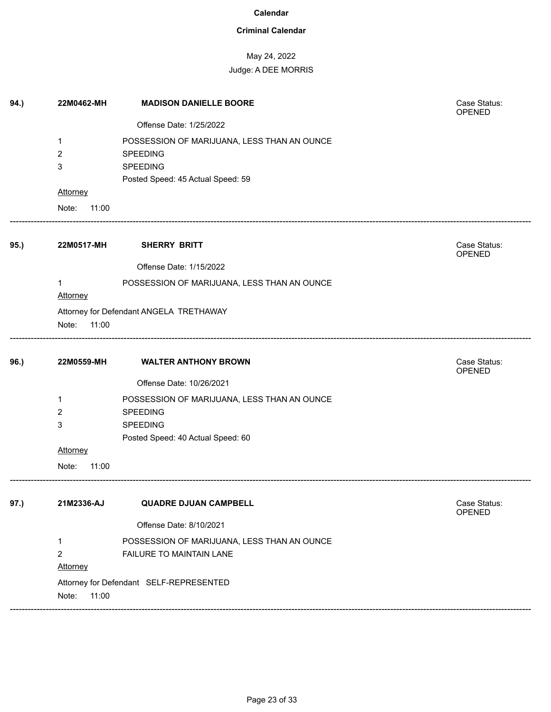### **Criminal Calendar**

## May 24, 2022

| 94.) | 22M0462-MH      | <b>MADISON DANIELLE BOORE</b>               | Case Status:<br><b>OPENED</b> |
|------|-----------------|---------------------------------------------|-------------------------------|
|      |                 | Offense Date: 1/25/2022                     |                               |
|      | 1               | POSSESSION OF MARIJUANA, LESS THAN AN OUNCE |                               |
|      | 2               | <b>SPEEDING</b>                             |                               |
|      | 3               | SPEEDING                                    |                               |
|      |                 | Posted Speed: 45 Actual Speed: 59           |                               |
|      | <b>Attorney</b> |                                             |                               |
|      | Note:<br>11:00  |                                             |                               |
| 95.) | 22M0517-MH      | SHERRY BRITT                                | Case Status:<br>OPENED        |
|      |                 | Offense Date: 1/15/2022                     |                               |
|      | 1               | POSSESSION OF MARIJUANA, LESS THAN AN OUNCE |                               |
|      | Attorney        |                                             |                               |
|      | Note:<br>11:00  | Attorney for Defendant ANGELA TRETHAWAY     |                               |
|      |                 |                                             |                               |
| 96.) | 22M0559-MH      | <b>WALTER ANTHONY BROWN</b>                 | Case Status:<br>OPENED        |
|      |                 | Offense Date: 10/26/2021                    |                               |
|      | 1               | POSSESSION OF MARIJUANA, LESS THAN AN OUNCE |                               |
|      | 2               | <b>SPEEDING</b>                             |                               |
|      | 3               | <b>SPEEDING</b>                             |                               |
|      |                 | Posted Speed: 40 Actual Speed: 60           |                               |
|      | <b>Attorney</b> |                                             |                               |
|      | Note:<br>11:00  |                                             |                               |
| 97.) | 21M2336-AJ      | <b>QUADRE DJUAN CAMPBELL</b>                | Case Status:<br>OPENED        |
|      |                 | Offense Date: 8/10/2021                     |                               |
|      | 1               | POSSESSION OF MARIJUANA, LESS THAN AN OUNCE |                               |
|      | $\overline{2}$  | FAILURE TO MAINTAIN LANE                    |                               |
|      | Attorney        |                                             |                               |
|      |                 | Attorney for Defendant SELF-REPRESENTED     |                               |
|      | 11:00<br>Note:  |                                             |                               |
|      |                 |                                             |                               |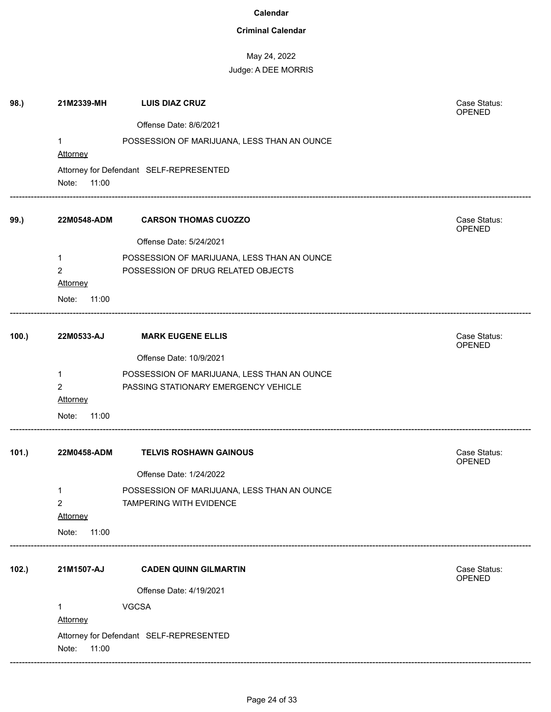### **Criminal Calendar**

## May 24, 2022 Judge: A DEE MORRIS

| 98.)  | 21M2339-MH                             | <b>LUIS DIAZ CRUZ</b>                                                             | Case Status:<br>OPENED        |
|-------|----------------------------------------|-----------------------------------------------------------------------------------|-------------------------------|
|       |                                        | Offense Date: 8/6/2021                                                            |                               |
|       | 1<br>Attorney                          | POSSESSION OF MARIJUANA, LESS THAN AN OUNCE                                       |                               |
|       | Note: 11:00                            | Attorney for Defendant SELF-REPRESENTED                                           |                               |
| 99.)  | 22M0548-ADM                            | <b>CARSON THOMAS CUOZZO</b>                                                       | Case Status:<br>OPENED        |
|       |                                        | Offense Date: 5/24/2021                                                           |                               |
|       | 1<br>$\overline{2}$<br><b>Attorney</b> | POSSESSION OF MARIJUANA, LESS THAN AN OUNCE<br>POSSESSION OF DRUG RELATED OBJECTS |                               |
|       | Note:<br>11:00                         |                                                                                   |                               |
| 100.  | 22M0533-AJ                             | <b>MARK EUGENE ELLIS</b>                                                          | Case Status:<br>OPENED        |
|       |                                        | Offense Date: 10/9/2021                                                           |                               |
|       | $\mathbf{1}$                           | POSSESSION OF MARIJUANA, LESS THAN AN OUNCE                                       |                               |
|       | $\overline{2}$                         | PASSING STATIONARY EMERGENCY VEHICLE                                              |                               |
|       | <b>Attorney</b>                        |                                                                                   |                               |
|       | Note:<br>11:00                         |                                                                                   |                               |
| 101.) | 22M0458-ADM                            | <b>TELVIS ROSHAWN GAINOUS</b>                                                     | Case Status:<br><b>OPENED</b> |
|       |                                        | Offense Date: 1/24/2022                                                           |                               |
|       | 1                                      | POSSESSION OF MARIJUANA, LESS THAN AN OUNCE                                       |                               |
|       | $\overline{c}$                         | <b>TAMPERING WITH EVIDENCE</b>                                                    |                               |
|       | Attorney                               |                                                                                   |                               |
|       | 11:00<br>Note:                         |                                                                                   |                               |
| 102.  | 21M1507-AJ                             | <b>CADEN QUINN GILMARTIN</b>                                                      | Case Status:<br>OPENED        |
|       |                                        | Offense Date: 4/19/2021                                                           |                               |
|       | 1                                      | <b>VGCSA</b>                                                                      |                               |
|       | Attorney                               |                                                                                   |                               |
|       | Note:<br>11:00                         | Attorney for Defendant SELF-REPRESENTED                                           |                               |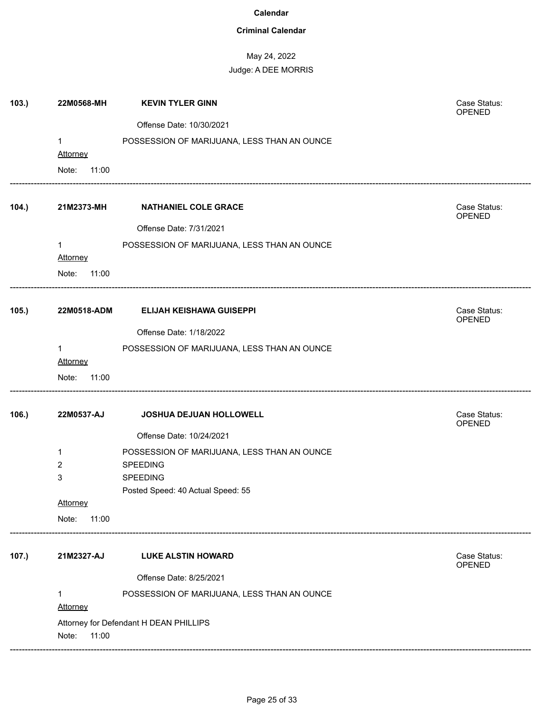### **Criminal Calendar**

## May 24, 2022 Judge: A DEE MORRIS

| 103.  | 22M0568-MH               | <b>KEVIN TYLER GINN</b>                              | Case Status:<br>OPENED        |
|-------|--------------------------|------------------------------------------------------|-------------------------------|
|       |                          | Offense Date: 10/30/2021                             |                               |
|       | 1                        | POSSESSION OF MARIJUANA, LESS THAN AN OUNCE          |                               |
|       | <b>Attorney</b>          |                                                      |                               |
|       | 11:00<br>Note:           |                                                      |                               |
| 104.  | 21M2373-MH               | <b>NATHANIEL COLE GRACE</b>                          | Case Status:<br>OPENED        |
|       |                          | Offense Date: 7/31/2021                              |                               |
|       | 1                        | POSSESSION OF MARIJUANA, LESS THAN AN OUNCE          |                               |
|       | <b>Attorney</b>          |                                                      |                               |
|       | Note:<br>11:00           |                                                      |                               |
| 105.  | 22M0518-ADM              | <b>ELIJAH KEISHAWA GUISEPPI</b>                      | Case Status:<br>OPENED        |
|       |                          | Offense Date: 1/18/2022                              |                               |
|       | 1                        | POSSESSION OF MARIJUANA, LESS THAN AN OUNCE          |                               |
|       | Attorney                 |                                                      |                               |
|       | Note:<br>11:00           |                                                      |                               |
| 106.  | 22M0537-AJ               | JOSHUA DEJUAN HOLLOWELL                              | Case Status:<br><b>OPENED</b> |
|       |                          | Offense Date: 10/24/2021                             |                               |
|       | 1                        | POSSESSION OF MARIJUANA, LESS THAN AN OUNCE          |                               |
|       | 2                        | <b>SPEEDING</b>                                      |                               |
|       | 3                        | <b>SPEEDING</b><br>Posted Speed: 40 Actual Speed: 55 |                               |
|       | Attorney                 |                                                      |                               |
|       | 11:00<br>Note:           |                                                      |                               |
| 107.) | 21M2327-AJ               | <b>LUKE ALSTIN HOWARD</b>                            | Case Status:<br>OPENED        |
|       |                          | Offense Date: 8/25/2021                              |                               |
|       | $\mathbf{1}$<br>Attorney | POSSESSION OF MARIJUANA, LESS THAN AN OUNCE          |                               |
|       | 11:00<br>Note:           | Attorney for Defendant H DEAN PHILLIPS               |                               |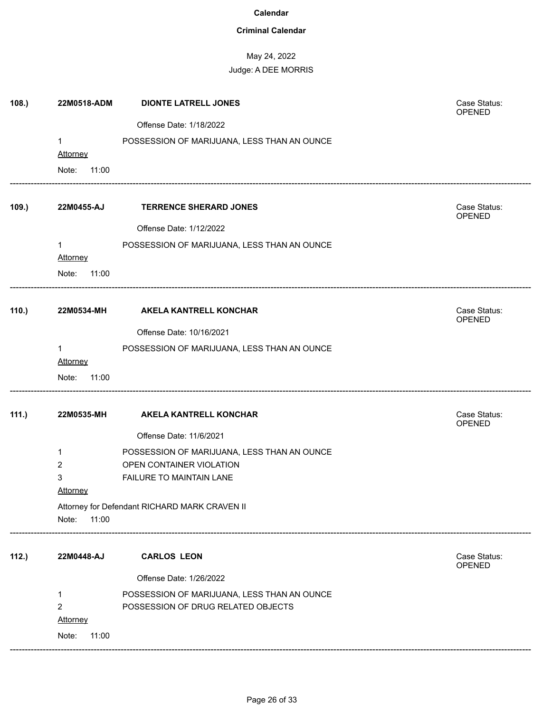### **Criminal Calendar**

| 108.  | 22M0518-ADM     | <b>DIONTE LATRELL JONES</b>                   | Case Status:<br>OPENED |
|-------|-----------------|-----------------------------------------------|------------------------|
|       |                 | Offense Date: 1/18/2022                       |                        |
|       | 1               | POSSESSION OF MARIJUANA, LESS THAN AN OUNCE   |                        |
|       | <b>Attorney</b> |                                               |                        |
|       | 11:00<br>Note:  |                                               |                        |
| 109.  | 22M0455-AJ      | <b>TERRENCE SHERARD JONES</b>                 | Case Status:<br>OPENED |
|       |                 | Offense Date: 1/12/2022                       |                        |
|       | 1               | POSSESSION OF MARIJUANA, LESS THAN AN OUNCE   |                        |
|       | <b>Attorney</b> |                                               |                        |
|       | Note:<br>11:00  |                                               |                        |
| 110.) | 22M0534-MH      | <b>AKELA KANTRELL KONCHAR</b>                 | Case Status:<br>OPENED |
|       |                 | Offense Date: 10/16/2021                      |                        |
|       | 1               | POSSESSION OF MARIJUANA, LESS THAN AN OUNCE   |                        |
|       | <b>Attorney</b> |                                               |                        |
|       | Note:<br>11:00  |                                               |                        |
| 111.) | 22M0535-MH      | <b>AKELA KANTRELL KONCHAR</b>                 | Case Status:<br>OPENED |
|       |                 | Offense Date: 11/6/2021                       |                        |
|       | 1               | POSSESSION OF MARIJUANA, LESS THAN AN OUNCE   |                        |
|       | $\overline{2}$  | OPEN CONTAINER VIOLATION                      |                        |
|       | 3               | FAILURE TO MAINTAIN LANE                      |                        |
|       | <b>Attorney</b> |                                               |                        |
|       | 11:00<br>Note:  | Attorney for Defendant RICHARD MARK CRAVEN II |                        |
| 112.  | 22M0448-AJ      | <b>CARLOS LEON</b>                            | Case Status:           |
|       |                 |                                               | OPENED                 |
|       |                 | Offense Date: 1/26/2022                       |                        |
|       | 1               | POSSESSION OF MARIJUANA, LESS THAN AN OUNCE   |                        |
|       | $\overline{2}$  | POSSESSION OF DRUG RELATED OBJECTS            |                        |
|       | Attorney        |                                               |                        |
|       | 11:00<br>Note:  |                                               |                        |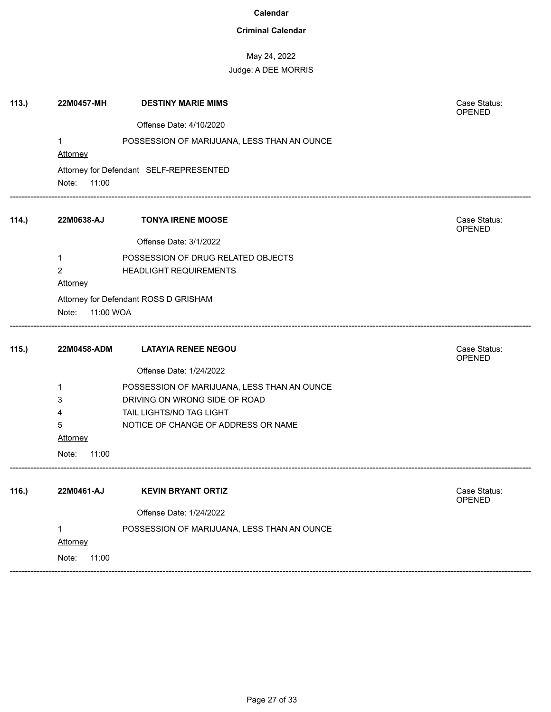### **Criminal Calendar**

# May 24, 2022

| 113. | 22M0457-MH           | <b>DESTINY MARIE MIMS</b>                   | Case Status:<br>OPENED        |
|------|----------------------|---------------------------------------------|-------------------------------|
|      |                      | Offense Date: 4/10/2020                     |                               |
|      | $\mathbf 1$          | POSSESSION OF MARIJUANA, LESS THAN AN OUNCE |                               |
|      | <b>Attorney</b>      |                                             |                               |
|      |                      | Attorney for Defendant SELF-REPRESENTED     |                               |
|      | Note:<br>11:00       |                                             |                               |
| 114. | 22M0638-AJ           | <b>TONYA IRENE MOOSE</b>                    | Case Status:<br><b>OPENED</b> |
|      |                      | Offense Date: 3/1/2022                      |                               |
|      | 1                    | POSSESSION OF DRUG RELATED OBJECTS          |                               |
|      | $\overline{2}$       | HEADLIGHT REQUIREMENTS                      |                               |
|      | Attorney             |                                             |                               |
|      |                      | Attorney for Defendant ROSS D GRISHAM       |                               |
|      | 11:00 WOA<br>Note:   |                                             |                               |
| 115. | 22M0458-ADM          | <b>LATAYIA RENEE NEGOU</b>                  | Case Status:<br><b>OPENED</b> |
|      |                      | Offense Date: 1/24/2022                     |                               |
|      | 1                    | POSSESSION OF MARIJUANA, LESS THAN AN OUNCE |                               |
|      | 3                    | DRIVING ON WRONG SIDE OF ROAD               |                               |
|      | 4                    | TAIL LIGHTS/NO TAG LIGHT                    |                               |
|      | 5<br><b>Attorney</b> | NOTICE OF CHANGE OF ADDRESS OR NAME         |                               |
|      | Note:<br>11:00       |                                             |                               |
|      |                      |                                             |                               |
| 116. | 22M0461-AJ           | <b>KEVIN BRYANT ORTIZ</b>                   | Case Status:<br>OPENED        |
|      |                      | Offense Date: 1/24/2022                     |                               |
|      | 1                    | POSSESSION OF MARIJUANA, LESS THAN AN OUNCE |                               |
|      | Attorney             |                                             |                               |
|      |                      |                                             |                               |
|      | Note:<br>11:00       |                                             |                               |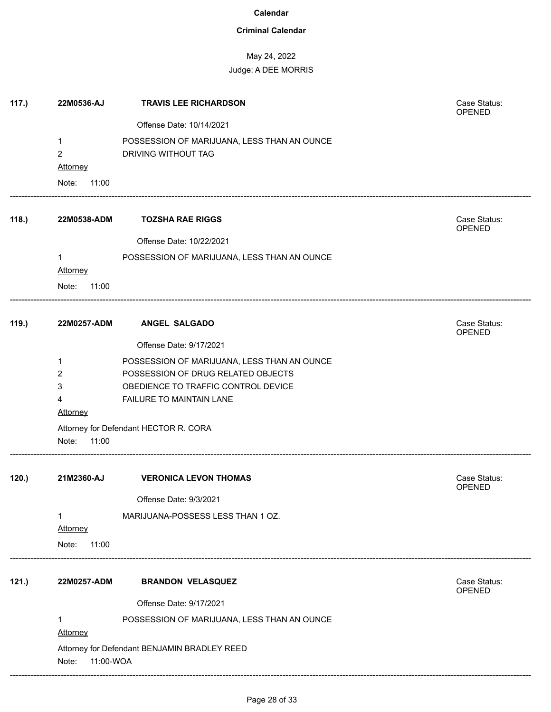### **Criminal Calendar**

| OPENED<br>Offense Date: 10/14/2021<br>POSSESSION OF MARIJUANA, LESS THAN AN OUNCE<br>1<br>$\overline{2}$<br>DRIVING WITHOUT TAG<br><b>Attorney</b><br>11:00<br>Note:<br>22M0538-ADM<br><b>TOZSHA RAE RIGGS</b><br>OPENED<br>Offense Date: 10/22/2021<br>POSSESSION OF MARIJUANA, LESS THAN AN OUNCE<br>$\mathbf 1$<br>Attorney | Case Status: |
|--------------------------------------------------------------------------------------------------------------------------------------------------------------------------------------------------------------------------------------------------------------------------------------------------------------------------------|--------------|
| 118.                                                                                                                                                                                                                                                                                                                           |              |
|                                                                                                                                                                                                                                                                                                                                |              |
|                                                                                                                                                                                                                                                                                                                                |              |
|                                                                                                                                                                                                                                                                                                                                |              |
|                                                                                                                                                                                                                                                                                                                                |              |
|                                                                                                                                                                                                                                                                                                                                |              |
|                                                                                                                                                                                                                                                                                                                                |              |
|                                                                                                                                                                                                                                                                                                                                |              |
| Note:<br>11:00                                                                                                                                                                                                                                                                                                                 |              |
| 119.)<br>22M0257-ADM<br><b>ANGEL SALGADO</b><br>OPENED                                                                                                                                                                                                                                                                         | Case Status: |
| Offense Date: 9/17/2021                                                                                                                                                                                                                                                                                                        |              |
| POSSESSION OF MARIJUANA, LESS THAN AN OUNCE<br>1                                                                                                                                                                                                                                                                               |              |
| POSSESSION OF DRUG RELATED OBJECTS<br>2                                                                                                                                                                                                                                                                                        |              |
| 3<br>OBEDIENCE TO TRAFFIC CONTROL DEVICE                                                                                                                                                                                                                                                                                       |              |
| FAILURE TO MAINTAIN LANE<br>4                                                                                                                                                                                                                                                                                                  |              |
| <b>Attorney</b>                                                                                                                                                                                                                                                                                                                |              |
| Attorney for Defendant HECTOR R. CORA<br>11:00<br>Note:                                                                                                                                                                                                                                                                        |              |
| 120.<br>21M2360-AJ<br><b>VERONICA LEVON THOMAS</b><br>OPENED                                                                                                                                                                                                                                                                   | Case Status: |
| Offense Date: 9/3/2021                                                                                                                                                                                                                                                                                                         |              |
| MARIJUANA-POSSESS LESS THAN 1 OZ.<br>1                                                                                                                                                                                                                                                                                         |              |
| Attorney                                                                                                                                                                                                                                                                                                                       |              |
| 11:00<br>Note:                                                                                                                                                                                                                                                                                                                 |              |
| 121.<br>22M0257-ADM<br><b>BRANDON VELASQUEZ</b><br>OPENED                                                                                                                                                                                                                                                                      | Case Status: |
| Offense Date: 9/17/2021                                                                                                                                                                                                                                                                                                        |              |
| POSSESSION OF MARIJUANA, LESS THAN AN OUNCE<br>1<br>Attorney                                                                                                                                                                                                                                                                   |              |
| Attorney for Defendant BENJAMIN BRADLEY REED<br>11:00-WOA<br>Note:                                                                                                                                                                                                                                                             |              |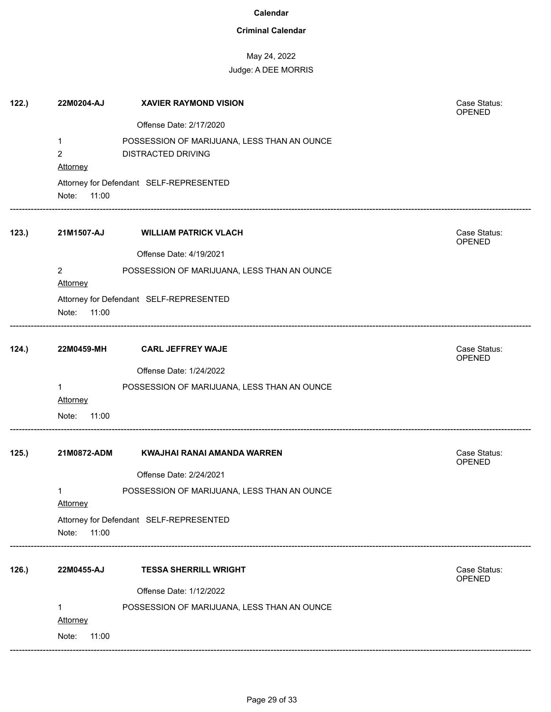### **Criminal Calendar**

| 122. | 22M0204-AJ                                        | <b>XAVIER RAYMOND VISION</b>                                      | Case Status:<br><b>OPENED</b> |
|------|---------------------------------------------------|-------------------------------------------------------------------|-------------------------------|
|      |                                                   | Offense Date: 2/17/2020                                           |                               |
|      | 1<br>$\overline{2}$<br><b>Attorney</b>            | POSSESSION OF MARIJUANA, LESS THAN AN OUNCE<br>DISTRACTED DRIVING |                               |
|      | 11:00<br>Note:                                    | Attorney for Defendant SELF-REPRESENTED                           |                               |
| 123. | 21M1507-AJ                                        | <b>WILLIAM PATRICK VLACH</b>                                      | Case Status:<br><b>OPENED</b> |
|      |                                                   | Offense Date: 4/19/2021                                           |                               |
|      | $\overline{2}$<br><b>Attorney</b>                 | POSSESSION OF MARIJUANA, LESS THAN AN OUNCE                       |                               |
|      | Note:<br>11:00                                    | Attorney for Defendant SELF-REPRESENTED                           |                               |
| 124. | 22M0459-MH                                        | <b>CARL JEFFREY WAJE</b>                                          | Case Status:<br>OPENED        |
|      |                                                   | Offense Date: 1/24/2022                                           |                               |
|      | $\mathbf{1}$<br><b>Attorney</b><br>Note:<br>11:00 | POSSESSION OF MARIJUANA, LESS THAN AN OUNCE                       |                               |
| 125. | 21M0872-ADM                                       | KWAJHAI RANAI AMANDA WARREN                                       | Case Status:<br>OPENED        |
|      |                                                   | Offense Date: 2/24/2021                                           |                               |
|      | 1<br>Attorney                                     | POSSESSION OF MARIJUANA, LESS THAN AN OUNCE                       |                               |
|      | Note:<br>11:00                                    | Attorney for Defendant SELF-REPRESENTED                           |                               |
| 126. | 22M0455-AJ                                        | <b>TESSA SHERRILL WRIGHT</b>                                      | Case Status:<br>OPENED        |
|      |                                                   | Offense Date: 1/12/2022                                           |                               |
|      | $\mathbf{1}$<br><b>Attorney</b>                   | POSSESSION OF MARIJUANA, LESS THAN AN OUNCE                       |                               |
|      | Note:<br>11:00                                    |                                                                   |                               |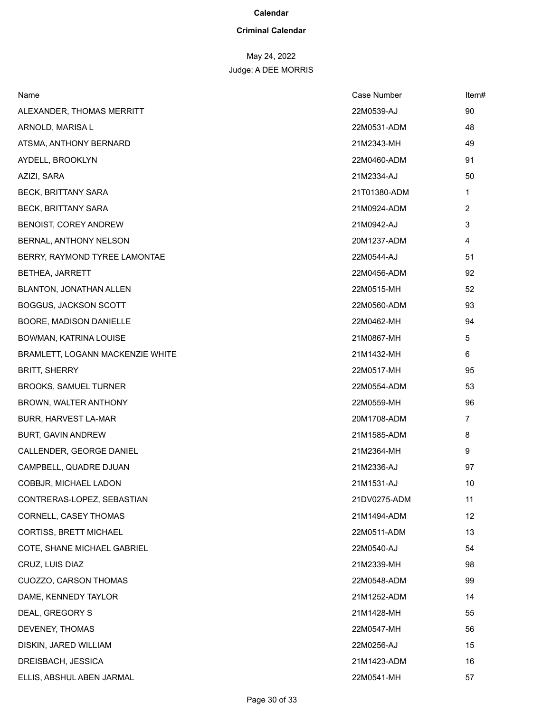#### **Criminal Calendar**

# May 24, 2022

| Name                             | Case Number  | ltem#          |
|----------------------------------|--------------|----------------|
| ALEXANDER, THOMAS MERRITT        | 22M0539-AJ   | 90             |
| ARNOLD, MARISA L                 | 22M0531-ADM  | 48             |
| ATSMA, ANTHONY BERNARD           | 21M2343-MH   | 49             |
| AYDELL, BROOKLYN                 | 22M0460-ADM  | 91             |
| AZIZI, SARA                      | 21M2334-AJ   | 50             |
| <b>BECK, BRITTANY SARA</b>       | 21T01380-ADM | 1              |
| <b>BECK, BRITTANY SARA</b>       | 21M0924-ADM  | $\overline{2}$ |
| <b>BENOIST, COREY ANDREW</b>     | 21M0942-AJ   | 3              |
| BERNAL, ANTHONY NELSON           | 20M1237-ADM  | 4              |
| BERRY, RAYMOND TYREE LAMONTAE    | 22M0544-AJ   | 51             |
| BETHEA, JARRETT                  | 22M0456-ADM  | 92             |
| <b>BLANTON, JONATHAN ALLEN</b>   | 22M0515-MH   | 52             |
| BOGGUS, JACKSON SCOTT            | 22M0560-ADM  | 93             |
| BOORE, MADISON DANIELLE          | 22M0462-MH   | 94             |
| BOWMAN, KATRINA LOUISE           | 21M0867-MH   | 5              |
| BRAMLETT, LOGANN MACKENZIE WHITE | 21M1432-MH   | 6              |
| <b>BRITT, SHERRY</b>             | 22M0517-MH   | 95             |
| <b>BROOKS, SAMUEL TURNER</b>     | 22M0554-ADM  | 53             |
| BROWN, WALTER ANTHONY            | 22M0559-MH   | 96             |
| <b>BURR, HARVEST LA-MAR</b>      | 20M1708-ADM  | $\overline{7}$ |
| <b>BURT, GAVIN ANDREW</b>        | 21M1585-ADM  | 8              |
| CALLENDER, GEORGE DANIEL         | 21M2364-MH   | 9              |
| CAMPBELL, QUADRE DJUAN           | 21M2336-AJ   | 97             |
| COBBJR, MICHAEL LADON            | 21M1531-AJ   | 10             |
| CONTRERAS-LOPEZ, SEBASTIAN       | 21DV0275-ADM | 11             |
| CORNELL, CASEY THOMAS            | 21M1494-ADM  | 12             |
| <b>CORTISS, BRETT MICHAEL</b>    | 22M0511-ADM  | 13             |
| COTE, SHANE MICHAEL GABRIEL      | 22M0540-AJ   | 54             |
| CRUZ, LUIS DIAZ                  | 21M2339-MH   | 98             |
| <b>CUOZZO, CARSON THOMAS</b>     | 22M0548-ADM  | 99             |
| DAME, KENNEDY TAYLOR             | 21M1252-ADM  | 14             |
| DEAL, GREGORY S                  | 21M1428-MH   | 55             |
| DEVENEY, THOMAS                  | 22M0547-MH   | 56             |
| DISKIN, JARED WILLIAM            | 22M0256-AJ   | 15             |
| DREISBACH, JESSICA               | 21M1423-ADM  | 16             |
| ELLIS, ABSHUL ABEN JARMAL        | 22M0541-MH   | 57             |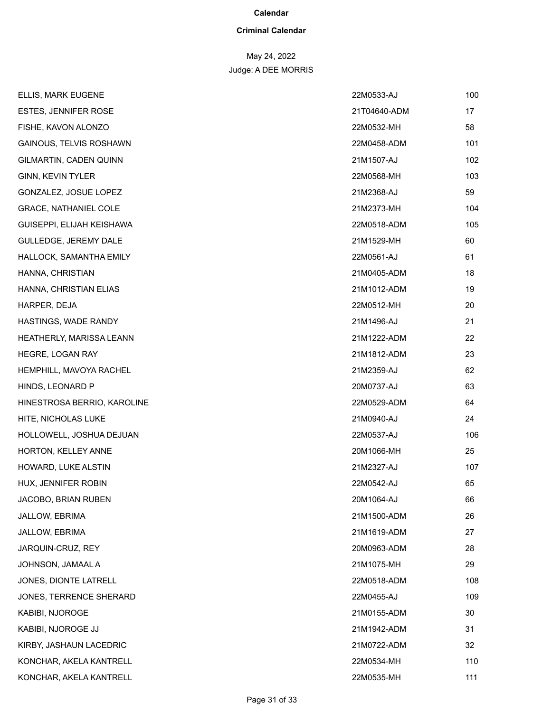#### **Criminal Calendar**

| ELLIS, MARK EUGENE           | 22M0533-AJ   | 100 |
|------------------------------|--------------|-----|
| <b>ESTES, JENNIFER ROSE</b>  | 21T04640-ADM | 17  |
| FISHE, KAVON ALONZO          | 22M0532-MH   | 58  |
| GAINOUS, TELVIS ROSHAWN      | 22M0458-ADM  | 101 |
| GILMARTIN, CADEN QUINN       | 21M1507-AJ   | 102 |
| GINN, KEVIN TYLER            | 22M0568-MH   | 103 |
| GONZALEZ, JOSUE LOPEZ        | 21M2368-AJ   | 59  |
| <b>GRACE, NATHANIEL COLE</b> | 21M2373-MH   | 104 |
| GUISEPPI, ELIJAH KEISHAWA    | 22M0518-ADM  | 105 |
| GULLEDGE, JEREMY DALE        | 21M1529-MH   | 60  |
| HALLOCK, SAMANTHA EMILY      | 22M0561-AJ   | 61  |
| HANNA, CHRISTIAN             | 21M0405-ADM  | 18  |
| HANNA, CHRISTIAN ELIAS       | 21M1012-ADM  | 19  |
| HARPER, DEJA                 | 22M0512-MH   | 20  |
| HASTINGS, WADE RANDY         | 21M1496-AJ   | 21  |
| HEATHERLY, MARISSA LEANN     | 21M1222-ADM  | 22  |
| HEGRE, LOGAN RAY             | 21M1812-ADM  | 23  |
| HEMPHILL, MAVOYA RACHEL      | 21M2359-AJ   | 62  |
| HINDS, LEONARD P             | 20M0737-AJ   | 63  |
| HINESTROSA BERRIO, KAROLINE  | 22M0529-ADM  | 64  |
| HITE, NICHOLAS LUKE          | 21M0940-AJ   | 24  |
| HOLLOWELL, JOSHUA DEJUAN     | 22M0537-AJ   | 106 |
| HORTON, KELLEY ANNE          | 20M1066-MH   | 25  |
| HOWARD, LUKE ALSTIN          | 21M2327-AJ   | 107 |
| HUX, JENNIFER ROBIN          | 22M0542-AJ   | 65  |
| JACOBO, BRIAN RUBEN          | 20M1064-AJ   | 66  |
| JALLOW, EBRIMA               | 21M1500-ADM  | 26  |
| JALLOW, EBRIMA               | 21M1619-ADM  | 27  |
| JARQUIN-CRUZ, REY            | 20M0963-ADM  | 28  |
| JOHNSON, JAMAAL A            | 21M1075-MH   | 29  |
| JONES, DIONTE LATRELL        | 22M0518-ADM  | 108 |
| JONES, TERRENCE SHERARD      | 22M0455-AJ   | 109 |
| KABIBI, NJOROGE              | 21M0155-ADM  | 30  |
| KABIBI, NJOROGE JJ           | 21M1942-ADM  | 31  |
| KIRBY, JASHAUN LACEDRIC      | 21M0722-ADM  | 32  |
| KONCHAR, AKELA KANTRELL      | 22M0534-MH   | 110 |
| KONCHAR, AKELA KANTRELL      | 22M0535-MH   | 111 |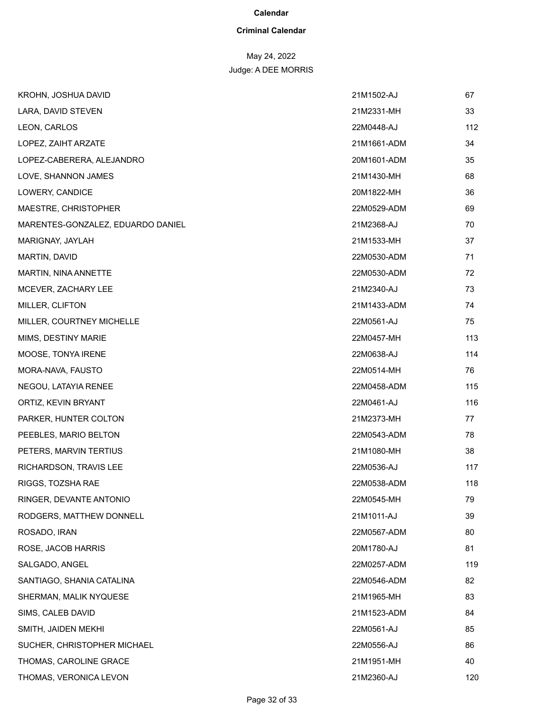#### **Criminal Calendar**

## May 24, 2022

| KROHN, JOSHUA DAVID               | 21M1502-AJ  | 67  |
|-----------------------------------|-------------|-----|
| LARA, DAVID STEVEN                | 21M2331-MH  | 33  |
| LEON, CARLOS                      | 22M0448-AJ  | 112 |
| LOPEZ, ZAIHT ARZATE               | 21M1661-ADM | 34  |
| LOPEZ-CABERERA, ALEJANDRO         | 20M1601-ADM | 35  |
| LOVE, SHANNON JAMES               | 21M1430-MH  | 68  |
| LOWERY, CANDICE                   | 20M1822-MH  | 36  |
| MAESTRE, CHRISTOPHER              | 22M0529-ADM | 69  |
| MARENTES-GONZALEZ, EDUARDO DANIEL | 21M2368-AJ  | 70  |
| MARIGNAY, JAYLAH                  | 21M1533-MH  | 37  |
| MARTIN, DAVID                     | 22M0530-ADM | 71  |
| MARTIN, NINA ANNETTE              | 22M0530-ADM | 72  |
| MCEVER, ZACHARY LEE               | 21M2340-AJ  | 73  |
| MILLER, CLIFTON                   | 21M1433-ADM | 74  |
| MILLER, COURTNEY MICHELLE         | 22M0561-AJ  | 75  |
| MIMS, DESTINY MARIE               | 22M0457-MH  | 113 |
| MOOSE, TONYA IRENE                | 22M0638-AJ  | 114 |
| MORA-NAVA, FAUSTO                 | 22M0514-MH  | 76  |
| NEGOU, LATAYIA RENEE              | 22M0458-ADM | 115 |
| ORTIZ, KEVIN BRYANT               | 22M0461-AJ  | 116 |
| PARKER, HUNTER COLTON             | 21M2373-MH  | 77  |
| PEEBLES, MARIO BELTON             | 22M0543-ADM | 78  |
| PETERS, MARVIN TERTIUS            | 21M1080-MH  | 38  |
| RICHARDSON, TRAVIS LEE            | 22M0536-AJ  | 117 |
| RIGGS, TOZSHA RAE                 | 22M0538-ADM | 118 |
| RINGER, DEVANTE ANTONIO           | 22M0545-MH  | 79  |
| RODGERS, MATTHEW DONNELL          | 21M1011-AJ  | 39  |
| ROSADO, IRAN                      | 22M0567-ADM | 80  |
| ROSE, JACOB HARRIS                | 20M1780-AJ  | 81  |
| SALGADO, ANGEL                    | 22M0257-ADM | 119 |
| SANTIAGO, SHANIA CATALINA         | 22M0546-ADM | 82  |
| SHERMAN, MALIK NYQUESE            | 21M1965-MH  | 83  |
| SIMS, CALEB DAVID                 | 21M1523-ADM | 84  |
| SMITH, JAIDEN MEKHI               | 22M0561-AJ  | 85  |
| SUCHER, CHRISTOPHER MICHAEL       | 22M0556-AJ  | 86  |
| THOMAS, CAROLINE GRACE            | 21M1951-MH  | 40  |
| THOMAS, VERONICA LEVON            | 21M2360-AJ  | 120 |